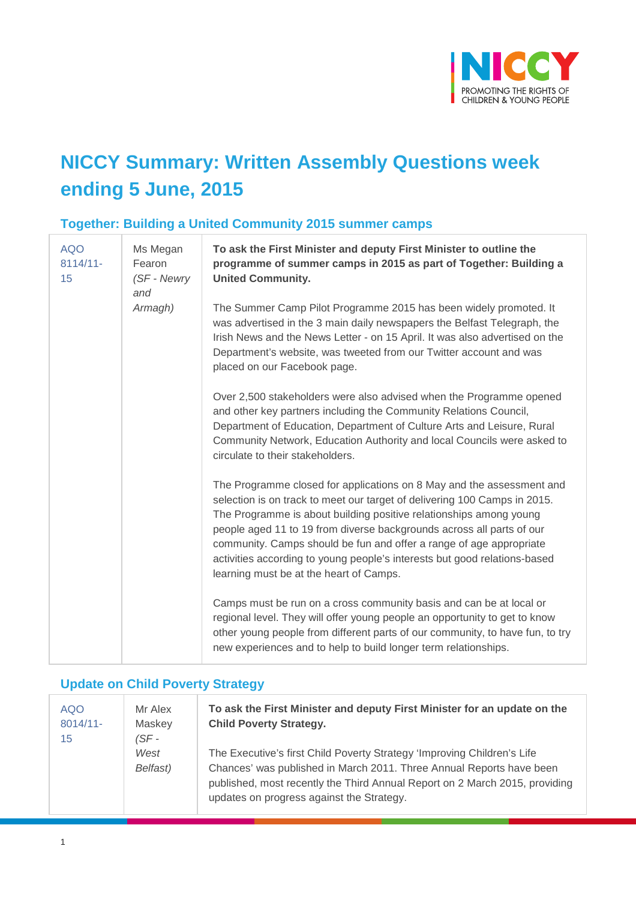

## **NICCY Summary: Written Assembly Questions week ending 5 June, 2015**

## **Together: Building a United Community 2015 summer camps**

| <b>AQO</b><br>$8114/11 -$<br>15 | Ms Megan<br>Fearon<br>(SF - Newry<br>and | To ask the First Minister and deputy First Minister to outline the<br>programme of summer camps in 2015 as part of Together: Building a<br><b>United Community.</b>                                                                                                                                                                                                                                                                                                                              |
|---------------------------------|------------------------------------------|--------------------------------------------------------------------------------------------------------------------------------------------------------------------------------------------------------------------------------------------------------------------------------------------------------------------------------------------------------------------------------------------------------------------------------------------------------------------------------------------------|
|                                 | Armagh)                                  | The Summer Camp Pilot Programme 2015 has been widely promoted. It<br>was advertised in the 3 main daily newspapers the Belfast Telegraph, the<br>Irish News and the News Letter - on 15 April. It was also advertised on the<br>Department's website, was tweeted from our Twitter account and was<br>placed on our Facebook page.                                                                                                                                                               |
|                                 |                                          | Over 2,500 stakeholders were also advised when the Programme opened<br>and other key partners including the Community Relations Council,<br>Department of Education, Department of Culture Arts and Leisure, Rural<br>Community Network, Education Authority and local Councils were asked to<br>circulate to their stakeholders.                                                                                                                                                                |
|                                 |                                          | The Programme closed for applications on 8 May and the assessment and<br>selection is on track to meet our target of delivering 100 Camps in 2015.<br>The Programme is about building positive relationships among young<br>people aged 11 to 19 from diverse backgrounds across all parts of our<br>community. Camps should be fun and offer a range of age appropriate<br>activities according to young people's interests but good relations-based<br>learning must be at the heart of Camps. |
|                                 |                                          | Camps must be run on a cross community basis and can be at local or<br>regional level. They will offer young people an opportunity to get to know<br>other young people from different parts of our community, to have fun, to try<br>new experiences and to help to build longer term relationships.                                                                                                                                                                                            |

#### **Update on Child Poverty Strategy**

| <b>AQO</b><br>$8014/11$ -<br>15 | Mr Alex<br>Maskey<br>(SF - | To ask the First Minister and deputy First Minister for an update on the<br><b>Child Poverty Strategy.</b>                                                                                                                                                                  |
|---------------------------------|----------------------------|-----------------------------------------------------------------------------------------------------------------------------------------------------------------------------------------------------------------------------------------------------------------------------|
|                                 | West<br>Belfast)           | The Executive's first Child Poverty Strategy 'Improving Children's Life<br>Chances' was published in March 2011. Three Annual Reports have been<br>published, most recently the Third Annual Report on 2 March 2015, providing<br>updates on progress against the Strategy. |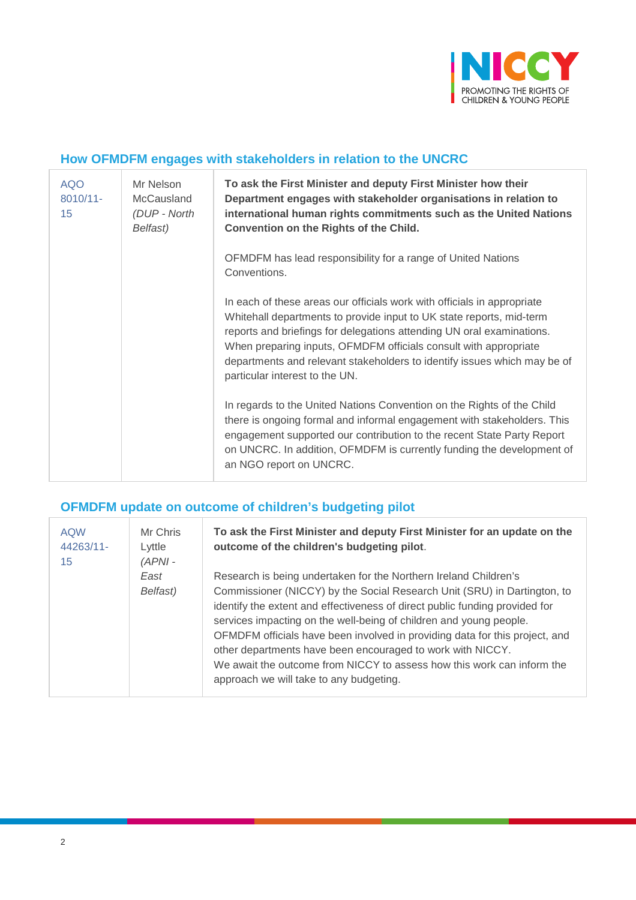

#### **How OFMDFM engages with stakeholders in relation to the UNCRC**

| <b>AQO</b><br>8010/11-<br>15 | Mr Nelson<br>McCausland<br>(DUP - North<br>Belfast) | To ask the First Minister and deputy First Minister how their<br>Department engages with stakeholder organisations in relation to<br>international human rights commitments such as the United Nations<br>Convention on the Rights of the Child.                                                                                                                                                           |
|------------------------------|-----------------------------------------------------|------------------------------------------------------------------------------------------------------------------------------------------------------------------------------------------------------------------------------------------------------------------------------------------------------------------------------------------------------------------------------------------------------------|
|                              |                                                     | OFMDFM has lead responsibility for a range of United Nations<br>Conventions.                                                                                                                                                                                                                                                                                                                               |
|                              |                                                     | In each of these areas our officials work with officials in appropriate<br>Whitehall departments to provide input to UK state reports, mid-term<br>reports and briefings for delegations attending UN oral examinations.<br>When preparing inputs, OFMDFM officials consult with appropriate<br>departments and relevant stakeholders to identify issues which may be of<br>particular interest to the UN. |
|                              |                                                     | In regards to the United Nations Convention on the Rights of the Child<br>there is ongoing formal and informal engagement with stakeholders. This<br>engagement supported our contribution to the recent State Party Report<br>on UNCRC. In addition, OFMDFM is currently funding the development of<br>an NGO report on UNCRC.                                                                            |

#### **OFMDFM update on outcome of children's budgeting pilot**

| <b>AQW</b><br>44263/11-<br>15 | Mr Chris<br>Lyttle<br>$(APNI -$ | To ask the First Minister and deputy First Minister for an update on the<br>outcome of the children's budgeting pilot.                                                                                                                                                                                                                                                                                                                                                                                                                                              |
|-------------------------------|---------------------------------|---------------------------------------------------------------------------------------------------------------------------------------------------------------------------------------------------------------------------------------------------------------------------------------------------------------------------------------------------------------------------------------------------------------------------------------------------------------------------------------------------------------------------------------------------------------------|
|                               | East<br>Belfast)                | Research is being undertaken for the Northern Ireland Children's<br>Commissioner (NICCY) by the Social Research Unit (SRU) in Dartington, to<br>identify the extent and effectiveness of direct public funding provided for<br>services impacting on the well-being of children and young people.<br>OFMDFM officials have been involved in providing data for this project, and<br>other departments have been encouraged to work with NICCY.<br>We await the outcome from NICCY to assess how this work can inform the<br>approach we will take to any budgeting. |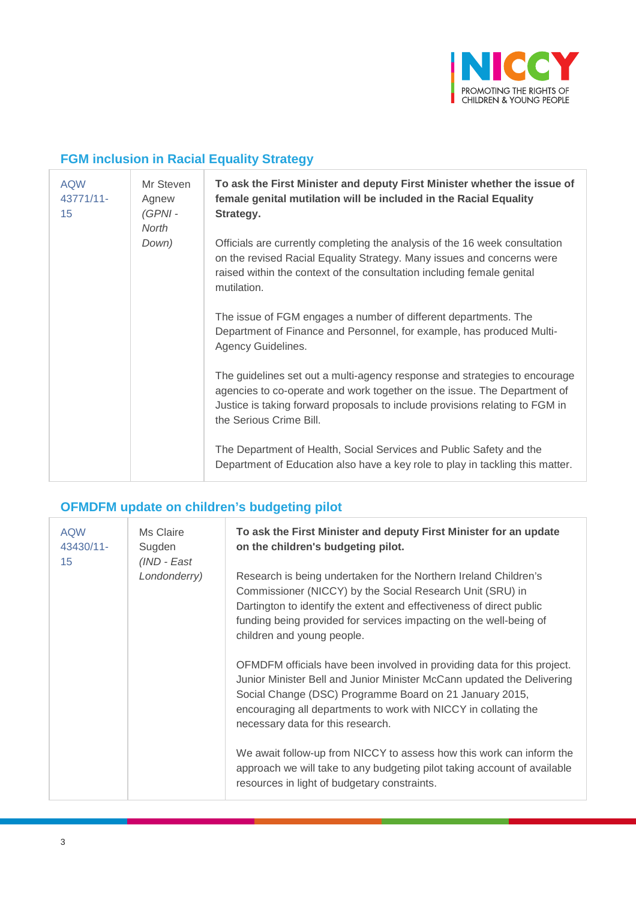

## **FGM inclusion in Racial Equality Strategy**

| <b>AQW</b><br>43771/11-<br>15 | Mr Steven<br>Agnew<br>$(GPNI -$<br>North | To ask the First Minister and deputy First Minister whether the issue of<br>female genital mutilation will be included in the Racial Equality<br>Strategy.                                                                                                        |
|-------------------------------|------------------------------------------|-------------------------------------------------------------------------------------------------------------------------------------------------------------------------------------------------------------------------------------------------------------------|
|                               | Down)                                    | Officials are currently completing the analysis of the 16 week consultation<br>on the revised Racial Equality Strategy. Many issues and concerns were<br>raised within the context of the consultation including female genital<br>mutilation.                    |
|                               |                                          | The issue of FGM engages a number of different departments. The<br>Department of Finance and Personnel, for example, has produced Multi-<br>Agency Guidelines.                                                                                                    |
|                               |                                          | The guidelines set out a multi-agency response and strategies to encourage<br>agencies to co-operate and work together on the issue. The Department of<br>Justice is taking forward proposals to include provisions relating to FGM in<br>the Serious Crime Bill. |
|                               |                                          | The Department of Health, Social Services and Public Safety and the<br>Department of Education also have a key role to play in tackling this matter.                                                                                                              |

#### **OFMDFM update on children's budgeting pilot**

| <b>AQW</b><br>43430/11-<br>15 | Ms Claire<br>Sugden<br>(IND - East | To ask the First Minister and deputy First Minister for an update<br>on the children's budgeting pilot.                                                                                                                                                                                                              |
|-------------------------------|------------------------------------|----------------------------------------------------------------------------------------------------------------------------------------------------------------------------------------------------------------------------------------------------------------------------------------------------------------------|
|                               | Londonderry)                       | Research is being undertaken for the Northern Ireland Children's<br>Commissioner (NICCY) by the Social Research Unit (SRU) in<br>Dartington to identify the extent and effectiveness of direct public<br>funding being provided for services impacting on the well-being of<br>children and young people.            |
|                               |                                    | OFMDFM officials have been involved in providing data for this project.<br>Junior Minister Bell and Junior Minister McCann updated the Delivering<br>Social Change (DSC) Programme Board on 21 January 2015,<br>encouraging all departments to work with NICCY in collating the<br>necessary data for this research. |
|                               |                                    | We await follow-up from NICCY to assess how this work can inform the<br>approach we will take to any budgeting pilot taking account of available<br>resources in light of budgetary constraints.                                                                                                                     |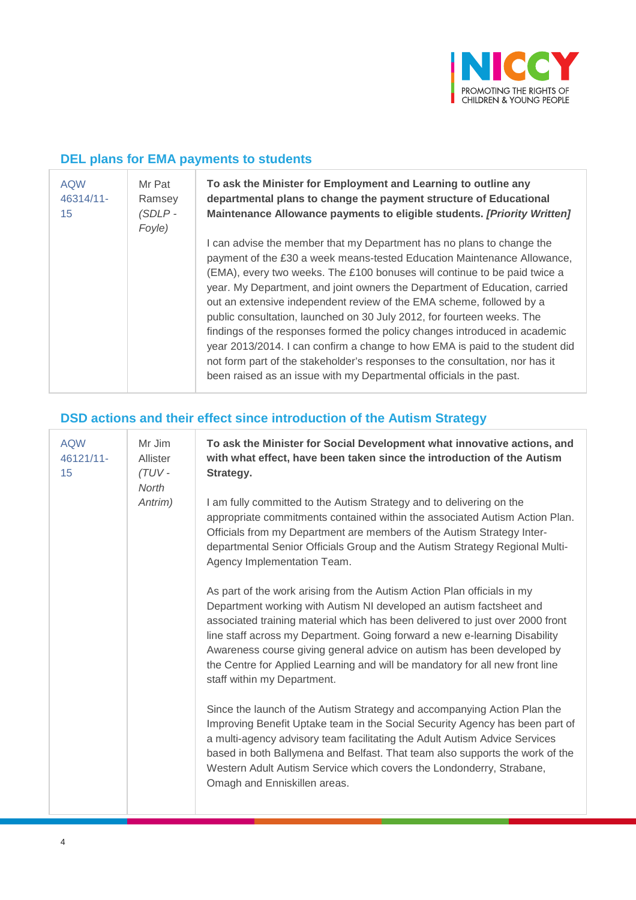

#### **DEL plans for EMA payments to students**

| <b>AQW</b><br>46314/11-<br>15 | Mr Pat<br>Ramsey<br>(SDLP -<br>Foyle) | To ask the Minister for Employment and Learning to outline any<br>departmental plans to change the payment structure of Educational<br>Maintenance Allowance payments to eligible students. [Priority Written]                                                                                                                                                                                                                                                                                                                                                                                                                                                                                                                                                                     |
|-------------------------------|---------------------------------------|------------------------------------------------------------------------------------------------------------------------------------------------------------------------------------------------------------------------------------------------------------------------------------------------------------------------------------------------------------------------------------------------------------------------------------------------------------------------------------------------------------------------------------------------------------------------------------------------------------------------------------------------------------------------------------------------------------------------------------------------------------------------------------|
|                               |                                       | I can advise the member that my Department has no plans to change the<br>payment of the £30 a week means-tested Education Maintenance Allowance,<br>(EMA), every two weeks. The £100 bonuses will continue to be paid twice a<br>year. My Department, and joint owners the Department of Education, carried<br>out an extensive independent review of the EMA scheme, followed by a<br>public consultation, launched on 30 July 2012, for fourteen weeks. The<br>findings of the responses formed the policy changes introduced in academic<br>year 2013/2014. I can confirm a change to how EMA is paid to the student did<br>not form part of the stakeholder's responses to the consultation, nor has it<br>been raised as an issue with my Departmental officials in the past. |

## **DSD actions and their effect since introduction of the Autism Strategy**

| <b>AQW</b><br>46121/11-<br>15 | Mr Jim<br><b>Allister</b><br>$(TUV -$<br><b>North</b><br>Antrim) | To ask the Minister for Social Development what innovative actions, and<br>with what effect, have been taken since the introduction of the Autism<br>Strategy.                                                                                                                                                                                                                                                                                                                                         |
|-------------------------------|------------------------------------------------------------------|--------------------------------------------------------------------------------------------------------------------------------------------------------------------------------------------------------------------------------------------------------------------------------------------------------------------------------------------------------------------------------------------------------------------------------------------------------------------------------------------------------|
|                               |                                                                  | I am fully committed to the Autism Strategy and to delivering on the<br>appropriate commitments contained within the associated Autism Action Plan.<br>Officials from my Department are members of the Autism Strategy Inter-<br>departmental Senior Officials Group and the Autism Strategy Regional Multi-<br>Agency Implementation Team.                                                                                                                                                            |
|                               |                                                                  | As part of the work arising from the Autism Action Plan officials in my<br>Department working with Autism NI developed an autism factsheet and<br>associated training material which has been delivered to just over 2000 front<br>line staff across my Department. Going forward a new e-learning Disability<br>Awareness course giving general advice on autism has been developed by<br>the Centre for Applied Learning and will be mandatory for all new front line<br>staff within my Department. |
|                               |                                                                  | Since the launch of the Autism Strategy and accompanying Action Plan the<br>Improving Benefit Uptake team in the Social Security Agency has been part of<br>a multi-agency advisory team facilitating the Adult Autism Advice Services<br>based in both Ballymena and Belfast. That team also supports the work of the<br>Western Adult Autism Service which covers the Londonderry, Strabane,<br>Omagh and Enniskillen areas.                                                                         |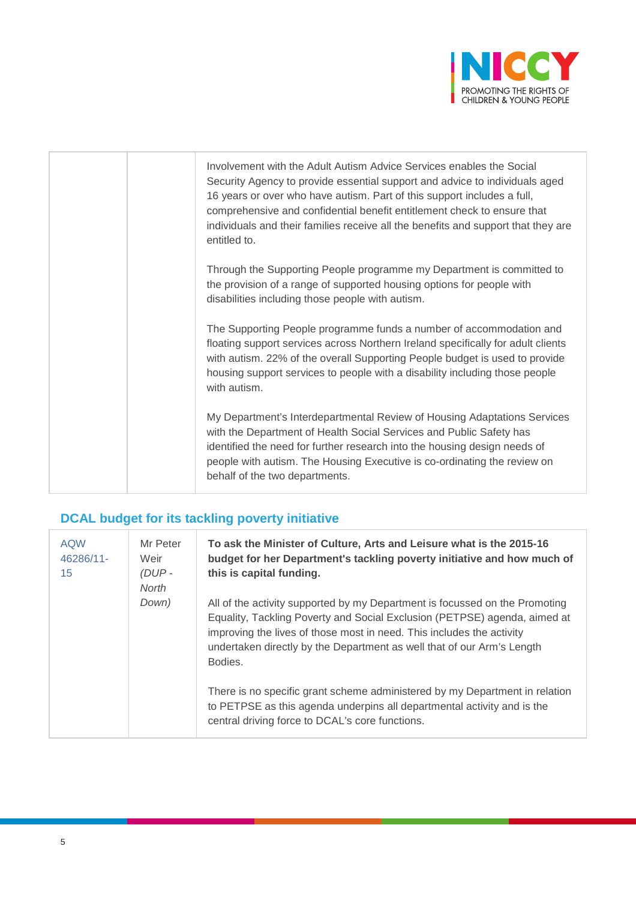

|  | Involvement with the Adult Autism Advice Services enables the Social<br>Security Agency to provide essential support and advice to individuals aged<br>16 years or over who have autism. Part of this support includes a full,<br>comprehensive and confidential benefit entitlement check to ensure that<br>individuals and their families receive all the benefits and support that they are<br>entitled to. |
|--|----------------------------------------------------------------------------------------------------------------------------------------------------------------------------------------------------------------------------------------------------------------------------------------------------------------------------------------------------------------------------------------------------------------|
|  | Through the Supporting People programme my Department is committed to<br>the provision of a range of supported housing options for people with<br>disabilities including those people with autism.                                                                                                                                                                                                             |
|  | The Supporting People programme funds a number of accommodation and<br>floating support services across Northern Ireland specifically for adult clients<br>with autism. 22% of the overall Supporting People budget is used to provide<br>housing support services to people with a disability including those people<br>with autism.                                                                          |
|  | My Department's Interdepartmental Review of Housing Adaptations Services<br>with the Department of Health Social Services and Public Safety has<br>identified the need for further research into the housing design needs of<br>people with autism. The Housing Executive is co-ordinating the review on<br>behalf of the two departments.                                                                     |

## **DCAL budget for its tackling poverty initiative**

| <b>AQW</b><br>46286/11-<br>15 | Mr Peter<br>Weir<br>$(DUP -$<br>North | To ask the Minister of Culture, Arts and Leisure what is the 2015-16<br>budget for her Department's tackling poverty initiative and how much of<br>this is capital funding.                                                                                                                                            |
|-------------------------------|---------------------------------------|------------------------------------------------------------------------------------------------------------------------------------------------------------------------------------------------------------------------------------------------------------------------------------------------------------------------|
|                               | Down)                                 | All of the activity supported by my Department is focussed on the Promoting<br>Equality, Tackling Poverty and Social Exclusion (PETPSE) agenda, aimed at<br>improving the lives of those most in need. This includes the activity<br>undertaken directly by the Department as well that of our Arm's Length<br>Bodies. |
|                               |                                       | There is no specific grant scheme administered by my Department in relation<br>to PETPSE as this agenda underpins all departmental activity and is the<br>central driving force to DCAL's core functions.                                                                                                              |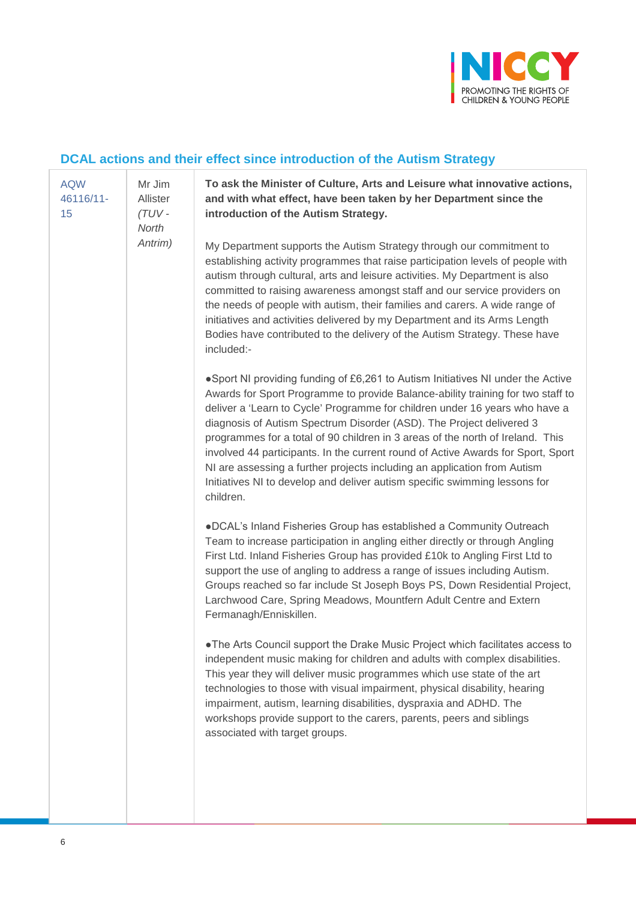

## **DCAL actions and their effect since introduction of the Autism Strategy**

| <b>AQW</b><br>46116/11-<br>15 | Mr Jim<br>Allister<br>(TUV-<br>North<br>Antrim) | To ask the Minister of Culture, Arts and Leisure what innovative actions,<br>and with what effect, have been taken by her Department since the<br>introduction of the Autism Strategy.                                                                                                                                                                                                                                                                                                                                                                                                                                                                                 |
|-------------------------------|-------------------------------------------------|------------------------------------------------------------------------------------------------------------------------------------------------------------------------------------------------------------------------------------------------------------------------------------------------------------------------------------------------------------------------------------------------------------------------------------------------------------------------------------------------------------------------------------------------------------------------------------------------------------------------------------------------------------------------|
|                               |                                                 | My Department supports the Autism Strategy through our commitment to<br>establishing activity programmes that raise participation levels of people with<br>autism through cultural, arts and leisure activities. My Department is also<br>committed to raising awareness amongst staff and our service providers on<br>the needs of people with autism, their families and carers. A wide range of<br>initiatives and activities delivered by my Department and its Arms Length<br>Bodies have contributed to the delivery of the Autism Strategy. These have<br>included:-                                                                                            |
|                               |                                                 | .Sport NI providing funding of £6,261 to Autism Initiatives NI under the Active<br>Awards for Sport Programme to provide Balance-ability training for two staff to<br>deliver a 'Learn to Cycle' Programme for children under 16 years who have a<br>diagnosis of Autism Spectrum Disorder (ASD). The Project delivered 3<br>programmes for a total of 90 children in 3 areas of the north of Ireland. This<br>involved 44 participants. In the current round of Active Awards for Sport, Sport<br>NI are assessing a further projects including an application from Autism<br>Initiatives NI to develop and deliver autism specific swimming lessons for<br>children. |
|                               |                                                 | .DCAL's Inland Fisheries Group has established a Community Outreach<br>Team to increase participation in angling either directly or through Angling<br>First Ltd. Inland Fisheries Group has provided £10k to Angling First Ltd to<br>support the use of angling to address a range of issues including Autism.<br>Groups reached so far include St Joseph Boys PS, Down Residential Project,<br>Larchwood Care, Spring Meadows, Mountfern Adult Centre and Extern<br>Fermanagh/Enniskillen.                                                                                                                                                                           |
|                               |                                                 | . The Arts Council support the Drake Music Project which facilitates access to<br>independent music making for children and adults with complex disabilities.<br>This year they will deliver music programmes which use state of the art<br>technologies to those with visual impairment, physical disability, hearing<br>impairment, autism, learning disabilities, dyspraxia and ADHD. The<br>workshops provide support to the carers, parents, peers and siblings<br>associated with target groups.                                                                                                                                                                 |
|                               |                                                 |                                                                                                                                                                                                                                                                                                                                                                                                                                                                                                                                                                                                                                                                        |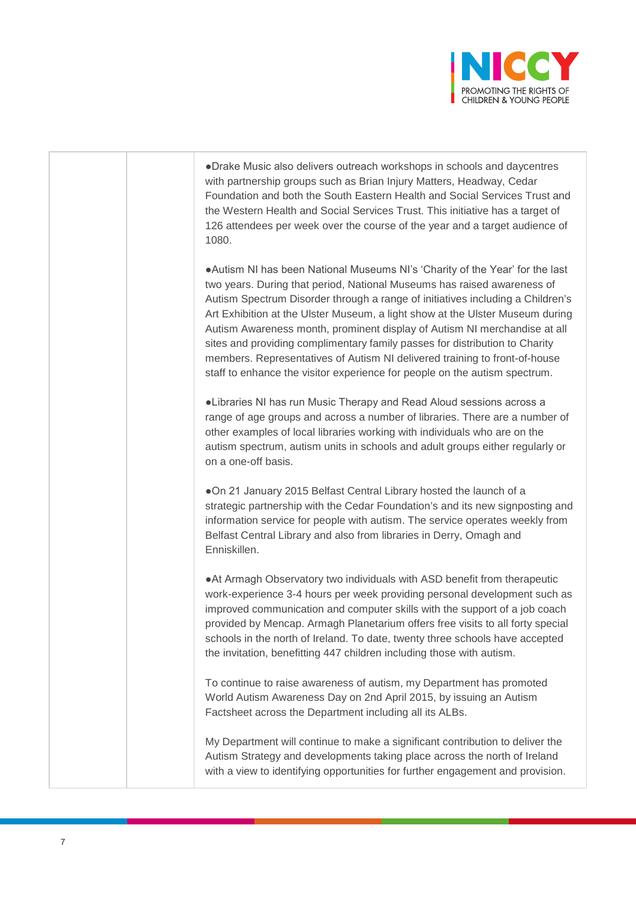

●Drake Music also delivers outreach workshops in schools and daycentres with partnership groups such as Brian Injury Matters, Headway, Cedar Foundation and both the South Eastern Health and Social Services Trust and the Western Health and Social Services Trust. This initiative has a target of 126 attendees per week over the course of the year and a target audience of 1080.

●Autism NI has been National Museums NI's 'Charity of the Year' for the last two years. During that period, National Museums has raised awareness of Autism Spectrum Disorder through a range of initiatives including a Children's Art Exhibition at the Ulster Museum, a light show at the Ulster Museum during Autism Awareness month, prominent display of Autism NI merchandise at all sites and providing complimentary family passes for distribution to Charity members. Representatives of Autism NI delivered training to front-of-house staff to enhance the visitor experience for people on the autism spectrum.

●Libraries NI has run Music Therapy and Read Aloud sessions across a range of age groups and across a number of libraries. There are a number of other examples of local libraries working with individuals who are on the autism spectrum, autism units in schools and adult groups either regularly or on a one-off basis.

●On 21 January 2015 Belfast Central Library hosted the launch of a strategic partnership with the Cedar Foundation's and its new signposting and information service for people with autism. The service operates weekly from Belfast Central Library and also from libraries in Derry, Omagh and Enniskillen.

●At Armagh Observatory two individuals with ASD benefit from therapeutic work-experience 3-4 hours per week providing personal development such as improved communication and computer skills with the support of a job coach provided by Mencap. Armagh Planetarium offers free visits to all forty special schools in the north of Ireland. To date, twenty three schools have accepted the invitation, benefitting 447 children including those with autism.

To continue to raise awareness of autism, my Department has promoted World Autism Awareness Day on 2nd April 2015, by issuing an Autism Factsheet across the Department including all its ALBs.

My Department will continue to make a significant contribution to deliver the Autism Strategy and developments taking place across the north of Ireland with a view to identifying opportunities for further engagement and provision.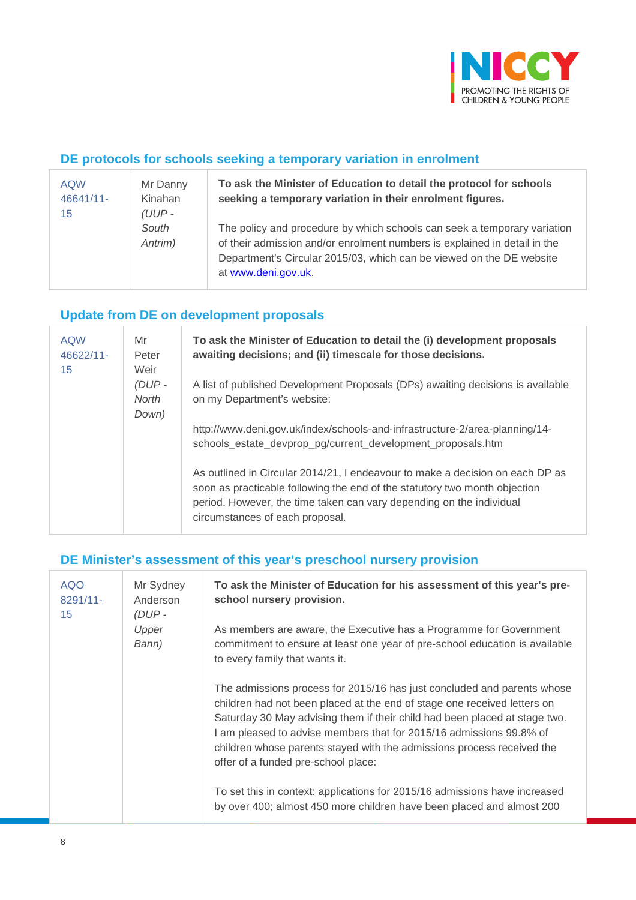

#### **DE protocols for schools seeking a temporary variation in enrolment**

| <b>AQW</b><br>46641/11-<br>15 | Mr Danny<br>Kinahan<br>$(UUP -$ | To ask the Minister of Education to detail the protocol for schools<br>seeking a temporary variation in their enrolment figures.                                                                                                                     |
|-------------------------------|---------------------------------|------------------------------------------------------------------------------------------------------------------------------------------------------------------------------------------------------------------------------------------------------|
|                               | South<br>Antrim)                | The policy and procedure by which schools can seek a temporary variation<br>of their admission and/or enrolment numbers is explained in detail in the<br>Department's Circular 2015/03, which can be viewed on the DE website<br>at www.deni.gov.uk. |

## **Update from DE on development proposals**

| <b>AQW</b><br>46622/11-<br>15 | Mr<br>Peter<br>Weir<br>$(DUP -$<br>North<br>Down) | To ask the Minister of Education to detail the (i) development proposals<br>awaiting decisions; and (ii) timescale for those decisions.                                                                                                                                |
|-------------------------------|---------------------------------------------------|------------------------------------------------------------------------------------------------------------------------------------------------------------------------------------------------------------------------------------------------------------------------|
|                               |                                                   | A list of published Development Proposals (DPs) awaiting decisions is available<br>on my Department's website:                                                                                                                                                         |
|                               |                                                   | http://www.deni.gov.uk/index/schools-and-infrastructure-2/area-planning/14-<br>schools_estate_devprop_pg/current_development_proposals.htm                                                                                                                             |
|                               |                                                   | As outlined in Circular 2014/21, I endeavour to make a decision on each DP as<br>soon as practicable following the end of the statutory two month objection<br>period. However, the time taken can vary depending on the individual<br>circumstances of each proposal. |

#### **DE Minister's assessment of this year's preschool nursery provision**

| <b>AQO</b><br>8291/11-<br>15 | Mr Sydney<br>Anderson<br>(DUP-<br>Upper<br>Bann) | To ask the Minister of Education for his assessment of this year's pre-<br>school nursery provision.                                                                                                                                                                                                                                                                                                                      |
|------------------------------|--------------------------------------------------|---------------------------------------------------------------------------------------------------------------------------------------------------------------------------------------------------------------------------------------------------------------------------------------------------------------------------------------------------------------------------------------------------------------------------|
|                              |                                                  | As members are aware, the Executive has a Programme for Government<br>commitment to ensure at least one year of pre-school education is available<br>to every family that wants it.                                                                                                                                                                                                                                       |
|                              |                                                  | The admissions process for 2015/16 has just concluded and parents whose<br>children had not been placed at the end of stage one received letters on<br>Saturday 30 May advising them if their child had been placed at stage two.<br>I am pleased to advise members that for 2015/16 admissions 99.8% of<br>children whose parents stayed with the admissions process received the<br>offer of a funded pre-school place: |
|                              |                                                  | To set this in context: applications for 2015/16 admissions have increased<br>by over 400; almost 450 more children have been placed and almost 200                                                                                                                                                                                                                                                                       |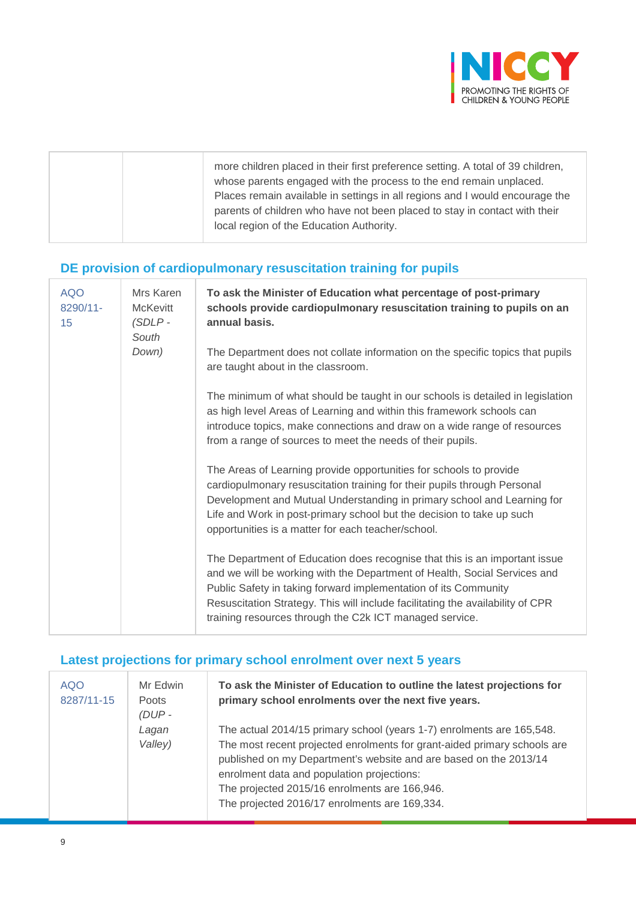

|  | more children placed in their first preference setting. A total of 39 children,<br>whose parents engaged with the process to the end remain unplaced.<br>Places remain available in settings in all regions and I would encourage the<br>parents of children who have not been placed to stay in contact with their<br>local region of the Education Authority. |
|--|-----------------------------------------------------------------------------------------------------------------------------------------------------------------------------------------------------------------------------------------------------------------------------------------------------------------------------------------------------------------|
|--|-----------------------------------------------------------------------------------------------------------------------------------------------------------------------------------------------------------------------------------------------------------------------------------------------------------------------------------------------------------------|

## **DE provision of cardiopulmonary resuscitation training for pupils**

| <b>AQO</b><br>8290/11-<br>15 | Mrs Karen<br><b>McKevitt</b><br>$(SDLP -$<br>South<br>Down) | To ask the Minister of Education what percentage of post-primary<br>schools provide cardiopulmonary resuscitation training to pupils on an<br>annual basis.                                                                                                                                                                                                             |
|------------------------------|-------------------------------------------------------------|-------------------------------------------------------------------------------------------------------------------------------------------------------------------------------------------------------------------------------------------------------------------------------------------------------------------------------------------------------------------------|
|                              |                                                             | The Department does not collate information on the specific topics that pupils<br>are taught about in the classroom.                                                                                                                                                                                                                                                    |
|                              |                                                             | The minimum of what should be taught in our schools is detailed in legislation<br>as high level Areas of Learning and within this framework schools can<br>introduce topics, make connections and draw on a wide range of resources<br>from a range of sources to meet the needs of their pupils.                                                                       |
|                              |                                                             | The Areas of Learning provide opportunities for schools to provide<br>cardiopulmonary resuscitation training for their pupils through Personal<br>Development and Mutual Understanding in primary school and Learning for<br>Life and Work in post-primary school but the decision to take up such<br>opportunities is a matter for each teacher/school.                |
|                              |                                                             | The Department of Education does recognise that this is an important issue<br>and we will be working with the Department of Health, Social Services and<br>Public Safety in taking forward implementation of its Community<br>Resuscitation Strategy. This will include facilitating the availability of CPR<br>training resources through the C2k ICT managed service. |

## **Latest projections for primary school enrolment over next 5 years**

| <b>AQO</b><br>8287/11-15 | Mr Edwin<br><b>Poots</b><br>$(DUP -$ | To ask the Minister of Education to outline the latest projections for<br>primary school enrolments over the next five years.                                                                                                                                                                                                                                          |
|--------------------------|--------------------------------------|------------------------------------------------------------------------------------------------------------------------------------------------------------------------------------------------------------------------------------------------------------------------------------------------------------------------------------------------------------------------|
|                          | Lagan<br>Valley)                     | The actual 2014/15 primary school (years 1-7) enrolments are 165,548.<br>The most recent projected enrolments for grant-aided primary schools are<br>published on my Department's website and are based on the 2013/14<br>enrolment data and population projections:<br>The projected 2015/16 enrolments are 166,946.<br>The projected 2016/17 enrolments are 169,334. |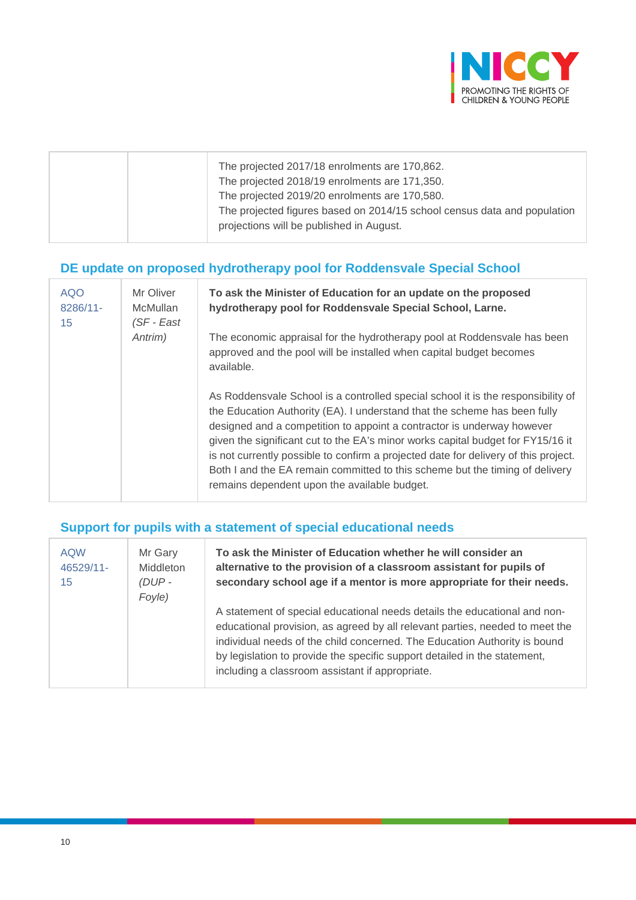

|  | The projected 2017/18 enrolments are 170,862.<br>The projected 2018/19 enrolments are 171,350.<br>The projected 2019/20 enrolments are 170,580.<br>The projected figures based on 2014/15 school census data and population<br>projections will be published in August. |
|--|-------------------------------------------------------------------------------------------------------------------------------------------------------------------------------------------------------------------------------------------------------------------------|
|--|-------------------------------------------------------------------------------------------------------------------------------------------------------------------------------------------------------------------------------------------------------------------------|

## **DE update on proposed hydrotherapy pool for Roddensvale Special School**

| <b>AQO</b><br>8286/11-<br>15 | Mr Oliver<br>McMullan<br>$(SF - East)$ | To ask the Minister of Education for an update on the proposed<br>hydrotherapy pool for Roddensvale Special School, Larne.                                                                                                                                                                                                                                                                                                                                                                                                                        |
|------------------------------|----------------------------------------|---------------------------------------------------------------------------------------------------------------------------------------------------------------------------------------------------------------------------------------------------------------------------------------------------------------------------------------------------------------------------------------------------------------------------------------------------------------------------------------------------------------------------------------------------|
|                              | Antrim)                                | The economic appraisal for the hydrotherapy pool at Roddensvale has been<br>approved and the pool will be installed when capital budget becomes<br>available.                                                                                                                                                                                                                                                                                                                                                                                     |
|                              |                                        | As Roddensvale School is a controlled special school it is the responsibility of<br>the Education Authority (EA). I understand that the scheme has been fully<br>designed and a competition to appoint a contractor is underway however<br>given the significant cut to the EA's minor works capital budget for FY15/16 it<br>is not currently possible to confirm a projected date for delivery of this project.<br>Both I and the EA remain committed to this scheme but the timing of delivery<br>remains dependent upon the available budget. |

## **Support for pupils with a statement of special educational needs**

| <b>AQW</b><br>46529/11-<br>15 | Mr Gary<br>Middleton<br>$(DUP -$<br>Foyle) | To ask the Minister of Education whether he will consider an<br>alternative to the provision of a classroom assistant for pupils of<br>secondary school age if a mentor is more appropriate for their needs.                                                                                                                                                           |
|-------------------------------|--------------------------------------------|------------------------------------------------------------------------------------------------------------------------------------------------------------------------------------------------------------------------------------------------------------------------------------------------------------------------------------------------------------------------|
|                               |                                            | A statement of special educational needs details the educational and non-<br>educational provision, as agreed by all relevant parties, needed to meet the<br>individual needs of the child concerned. The Education Authority is bound<br>by legislation to provide the specific support detailed in the statement,<br>including a classroom assistant if appropriate. |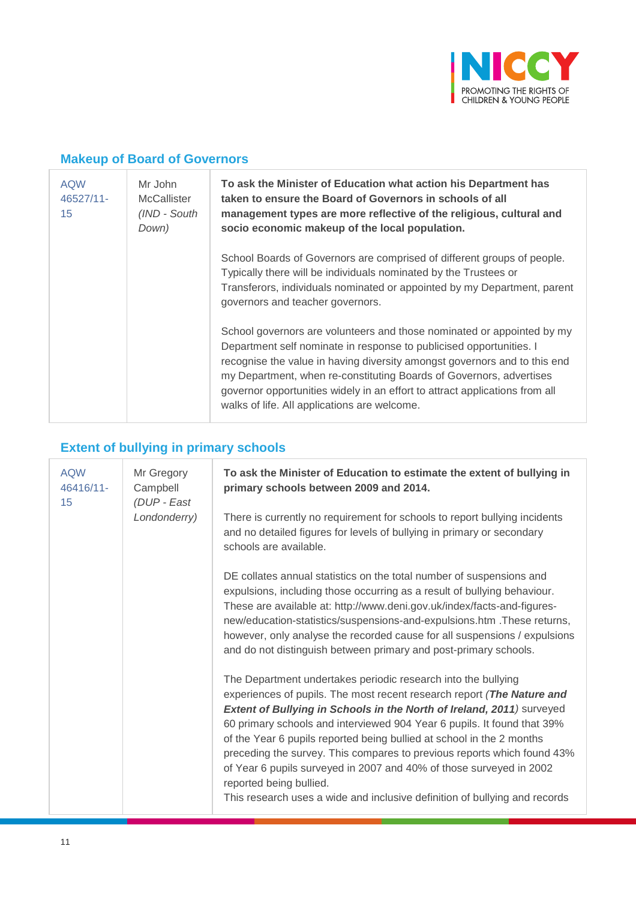

#### **Makeup of Board of Governors**

| <b>AQW</b><br>46527/11-<br>15 | Mr John<br><b>McCallister</b><br>(IND - South<br>Down) | To ask the Minister of Education what action his Department has<br>taken to ensure the Board of Governors in schools of all<br>management types are more reflective of the religious, cultural and<br>socio economic makeup of the local population.                                                                                                                                                                             |
|-------------------------------|--------------------------------------------------------|----------------------------------------------------------------------------------------------------------------------------------------------------------------------------------------------------------------------------------------------------------------------------------------------------------------------------------------------------------------------------------------------------------------------------------|
|                               |                                                        | School Boards of Governors are comprised of different groups of people.<br>Typically there will be individuals nominated by the Trustees or<br>Transferors, individuals nominated or appointed by my Department, parent<br>governors and teacher governors.                                                                                                                                                                      |
|                               |                                                        | School governors are volunteers and those nominated or appointed by my<br>Department self nominate in response to publicised opportunities. I<br>recognise the value in having diversity amongst governors and to this end<br>my Department, when re-constituting Boards of Governors, advertises<br>governor opportunities widely in an effort to attract applications from all<br>walks of life. All applications are welcome. |

## **Extent of bullying in primary schools**

| <b>AQW</b><br>46416/11-<br>15 | Mr Gregory<br>Campbell<br>(DUP - East | To ask the Minister of Education to estimate the extent of bullying in<br>primary schools between 2009 and 2014.                                                                                                                                                                                                                                                                                                                                                                                                                                                                                                                |
|-------------------------------|---------------------------------------|---------------------------------------------------------------------------------------------------------------------------------------------------------------------------------------------------------------------------------------------------------------------------------------------------------------------------------------------------------------------------------------------------------------------------------------------------------------------------------------------------------------------------------------------------------------------------------------------------------------------------------|
|                               | Londonderry)                          | There is currently no requirement for schools to report bullying incidents<br>and no detailed figures for levels of bullying in primary or secondary<br>schools are available.                                                                                                                                                                                                                                                                                                                                                                                                                                                  |
|                               |                                       | DE collates annual statistics on the total number of suspensions and<br>expulsions, including those occurring as a result of bullying behaviour.<br>These are available at: http://www.deni.gov.uk/index/facts-and-figures-<br>new/education-statistics/suspensions-and-expulsions.htm . These returns,<br>however, only analyse the recorded cause for all suspensions / expulsions<br>and do not distinguish between primary and post-primary schools.                                                                                                                                                                        |
|                               |                                       | The Department undertakes periodic research into the bullying<br>experiences of pupils. The most recent research report (The Nature and<br>Extent of Bullying in Schools in the North of Ireland, 2011) surveyed<br>60 primary schools and interviewed 904 Year 6 pupils. It found that 39%<br>of the Year 6 pupils reported being bullied at school in the 2 months<br>preceding the survey. This compares to previous reports which found 43%<br>of Year 6 pupils surveyed in 2007 and 40% of those surveyed in 2002<br>reported being bullied.<br>This research uses a wide and inclusive definition of bullying and records |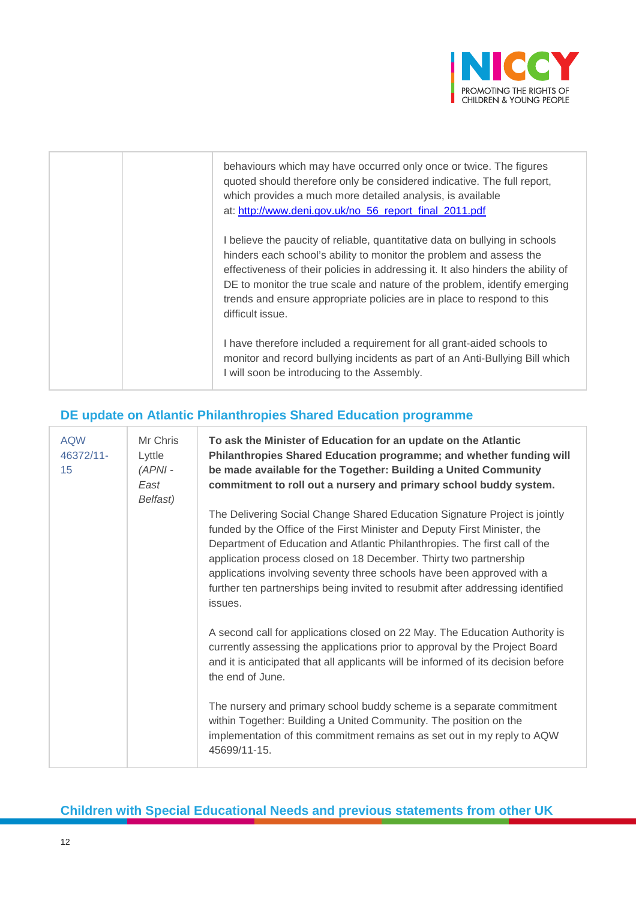

| behaviours which may have occurred only once or twice. The figures<br>quoted should therefore only be considered indicative. The full report,<br>which provides a much more detailed analysis, is available<br>at: http://www.deni.gov.uk/no_56_report_final_2011.pdf                                                                                                                                             |
|-------------------------------------------------------------------------------------------------------------------------------------------------------------------------------------------------------------------------------------------------------------------------------------------------------------------------------------------------------------------------------------------------------------------|
| I believe the paucity of reliable, quantitative data on bullying in schools<br>hinders each school's ability to monitor the problem and assess the<br>effectiveness of their policies in addressing it. It also hinders the ability of<br>DE to monitor the true scale and nature of the problem, identify emerging<br>trends and ensure appropriate policies are in place to respond to this<br>difficult issue. |
| I have therefore included a requirement for all grant-aided schools to<br>monitor and record bullying incidents as part of an Anti-Bullying Bill which<br>I will soon be introducing to the Assembly.                                                                                                                                                                                                             |

#### **DE update on Atlantic Philanthropies Shared Education programme**

| <b>AQW</b><br>46372/11-<br>15 | Mr Chris<br>Lyttle<br>$(APNI -$<br>East<br>Belfast) | To ask the Minister of Education for an update on the Atlantic<br>Philanthropies Shared Education programme; and whether funding will<br>be made available for the Together: Building a United Community<br>commitment to roll out a nursery and primary school buddy system.                                                                                                                                                                                                     |
|-------------------------------|-----------------------------------------------------|-----------------------------------------------------------------------------------------------------------------------------------------------------------------------------------------------------------------------------------------------------------------------------------------------------------------------------------------------------------------------------------------------------------------------------------------------------------------------------------|
|                               |                                                     | The Delivering Social Change Shared Education Signature Project is jointly<br>funded by the Office of the First Minister and Deputy First Minister, the<br>Department of Education and Atlantic Philanthropies. The first call of the<br>application process closed on 18 December. Thirty two partnership<br>applications involving seventy three schools have been approved with a<br>further ten partnerships being invited to resubmit after addressing identified<br>issues. |
|                               |                                                     | A second call for applications closed on 22 May. The Education Authority is<br>currently assessing the applications prior to approval by the Project Board<br>and it is anticipated that all applicants will be informed of its decision before<br>the end of June.                                                                                                                                                                                                               |
|                               |                                                     | The nursery and primary school buddy scheme is a separate commitment<br>within Together: Building a United Community. The position on the<br>implementation of this commitment remains as set out in my reply to AQW<br>45699/11-15.                                                                                                                                                                                                                                              |

#### **Children with Special Educational Needs and previous statements from other UK**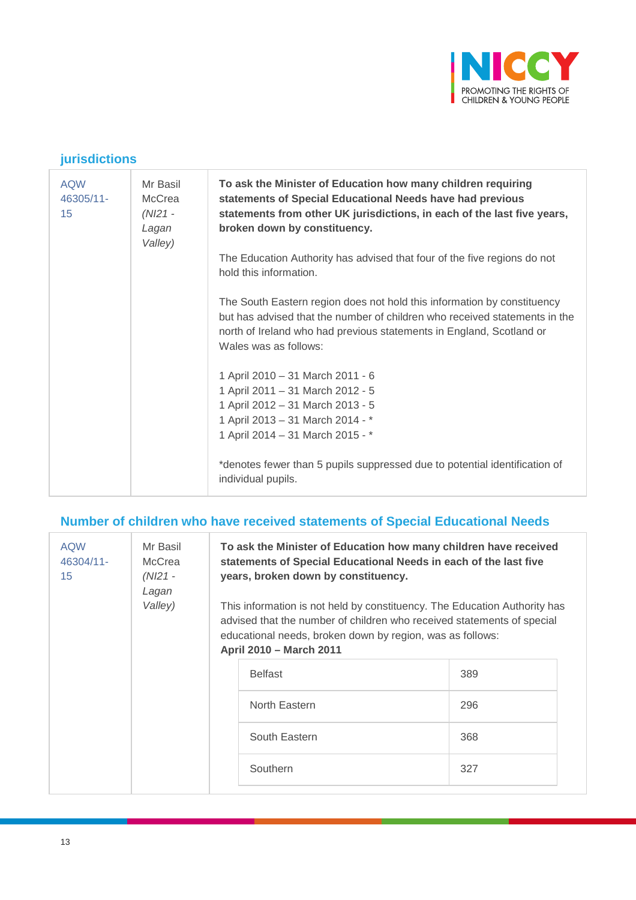

#### **jurisdictions**

| <b>AQW</b><br>46305/11-<br>15 | Mr Basil<br>McCrea<br>$(NI21 -$<br>Lagan<br>Valley) | To ask the Minister of Education how many children requiring<br>statements of Special Educational Needs have had previous<br>statements from other UK jurisdictions, in each of the last five years,<br>broken down by constituency.                   |
|-------------------------------|-----------------------------------------------------|--------------------------------------------------------------------------------------------------------------------------------------------------------------------------------------------------------------------------------------------------------|
|                               |                                                     | The Education Authority has advised that four of the five regions do not<br>hold this information.                                                                                                                                                     |
|                               |                                                     | The South Eastern region does not hold this information by constituency<br>but has advised that the number of children who received statements in the<br>north of Ireland who had previous statements in England, Scotland or<br>Wales was as follows: |
|                               |                                                     | 1 April 2010 - 31 March 2011 - 6<br>1 April 2011 - 31 March 2012 - 5<br>1 April 2012 - 31 March 2013 - 5<br>1 April 2013 - 31 March 2014 - *<br>1 April 2014 - 31 March 2015 - *                                                                       |
|                               |                                                     | *denotes fewer than 5 pupils suppressed due to potential identification of<br>individual pupils.                                                                                                                                                       |

#### **Number of children who have received statements of Special Educational Needs**

| <b>AQW</b><br>46304/11-<br>15 | Mr Basil<br>McCrea<br>(NI21 -<br>Lagan<br>Valley) | To ask the Minister of Education how many children have received<br>statements of Special Educational Needs in each of the last five<br>years, broken down by constituency.<br>This information is not held by constituency. The Education Authority has<br>advised that the number of children who received statements of special<br>educational needs, broken down by region, was as follows:<br>April 2010 - March 2011 |                |     |  |
|-------------------------------|---------------------------------------------------|----------------------------------------------------------------------------------------------------------------------------------------------------------------------------------------------------------------------------------------------------------------------------------------------------------------------------------------------------------------------------------------------------------------------------|----------------|-----|--|
|                               |                                                   |                                                                                                                                                                                                                                                                                                                                                                                                                            | <b>Belfast</b> | 389 |  |
|                               |                                                   |                                                                                                                                                                                                                                                                                                                                                                                                                            | North Eastern  | 296 |  |
|                               |                                                   | South Eastern                                                                                                                                                                                                                                                                                                                                                                                                              | 368            |     |  |
|                               |                                                   |                                                                                                                                                                                                                                                                                                                                                                                                                            | Southern       | 327 |  |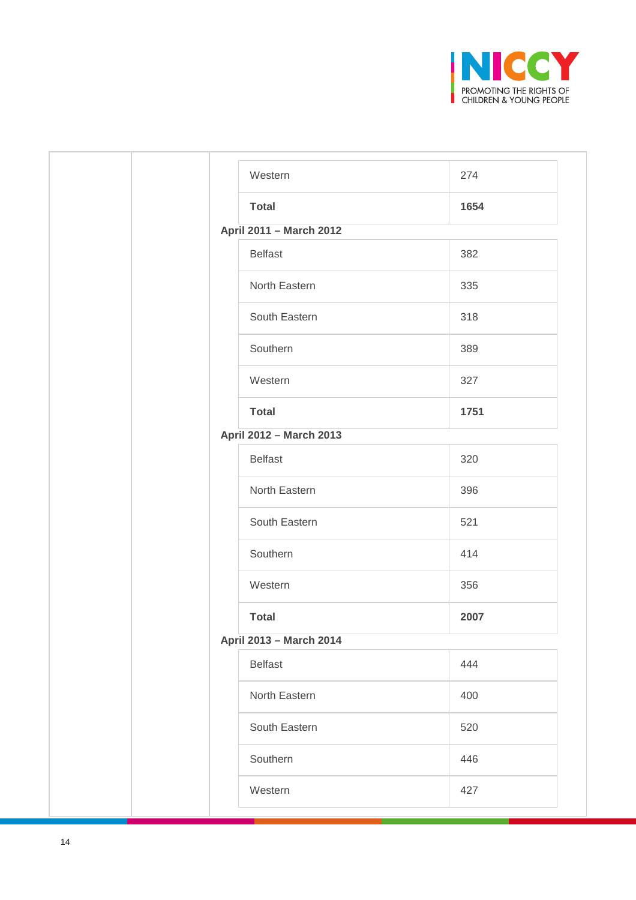

| 274  |
|------|
| 1654 |
|      |
| 382  |
| 335  |
| 318  |
| 389  |
| 327  |
| 1751 |
|      |
| 320  |
| 396  |
| 521  |
| 414  |
| 356  |
| 2007 |
|      |
| 444  |
| 400  |
| 520  |
| 446  |
|      |
|      |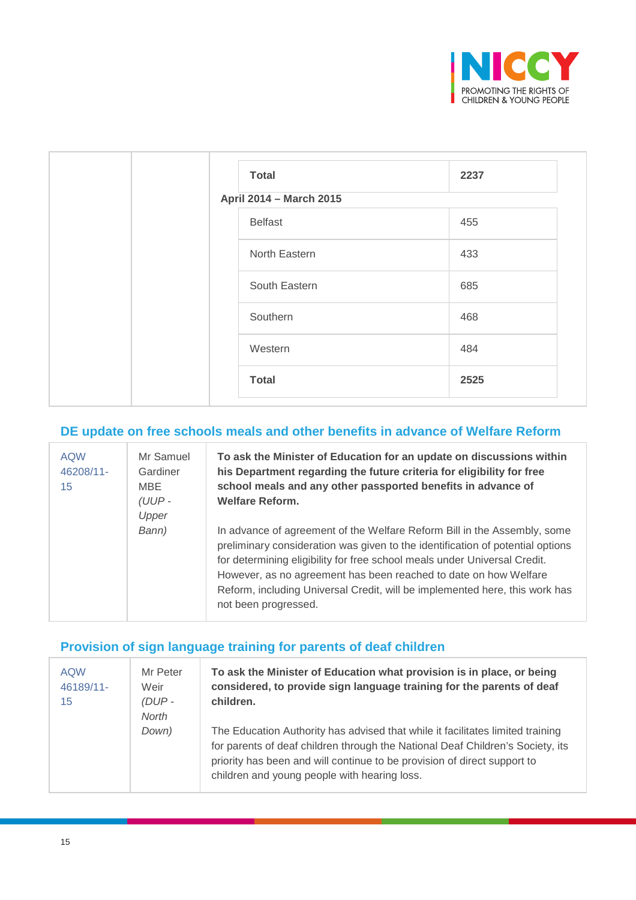

| <b>Total</b>            | 2237 |
|-------------------------|------|
| April 2014 - March 2015 |      |
| <b>Belfast</b>          | 455  |
| North Eastern           | 433  |
| South Eastern           | 685  |
| Southern                | 468  |
| Western                 | 484  |
| <b>Total</b>            | 2525 |

## **DE update on free schools meals and other benefits in advance of Welfare Reform**

| <b>AQW</b><br>46208/11-<br>15 | Mr Samuel<br>Gardiner<br>MBE<br>$(UUP -$<br>Upper | To ask the Minister of Education for an update on discussions within<br>his Department regarding the future criteria for eligibility for free<br>school meals and any other passported benefits in advance of<br><b>Welfare Reform.</b>                                                                                                                                                                            |
|-------------------------------|---------------------------------------------------|--------------------------------------------------------------------------------------------------------------------------------------------------------------------------------------------------------------------------------------------------------------------------------------------------------------------------------------------------------------------------------------------------------------------|
|                               | Bann)                                             | In advance of agreement of the Welfare Reform Bill in the Assembly, some<br>preliminary consideration was given to the identification of potential options<br>for determining eligibility for free school meals under Universal Credit.<br>However, as no agreement has been reached to date on how Welfare<br>Reform, including Universal Credit, will be implemented here, this work has<br>not been progressed. |

#### **Provision of sign language training for parents of deaf children**

| <b>AQW</b><br>46189/11-<br>15 | Mr Peter<br>Weir<br>$(DUP -$<br>North | To ask the Minister of Education what provision is in place, or being<br>considered, to provide sign language training for the parents of deaf<br>children.                                                                                                                                  |
|-------------------------------|---------------------------------------|----------------------------------------------------------------------------------------------------------------------------------------------------------------------------------------------------------------------------------------------------------------------------------------------|
|                               | Down)                                 | The Education Authority has advised that while it facilitates limited training<br>for parents of deaf children through the National Deaf Children's Society, its<br>priority has been and will continue to be provision of direct support to<br>children and young people with hearing loss. |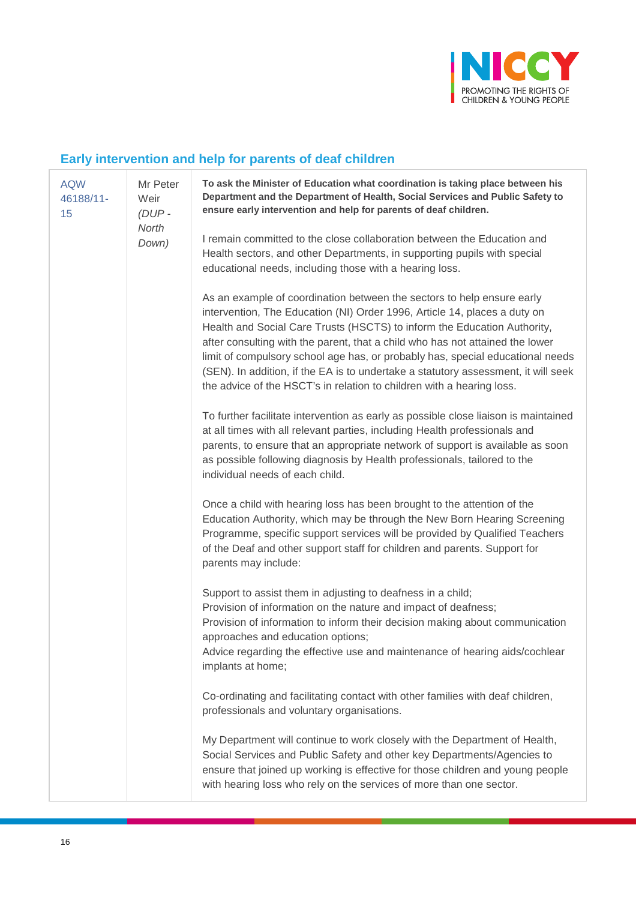

## **Early intervention and help for parents of deaf children**

| <b>AQW</b><br>46188/11-<br>15 | Mr Peter<br>Weir<br>$(DUP -$<br>North<br>Down) | To ask the Minister of Education what coordination is taking place between his<br>Department and the Department of Health, Social Services and Public Safety to<br>ensure early intervention and help for parents of deaf children.                                                                                                                                                                                                                                                                                                                               |
|-------------------------------|------------------------------------------------|-------------------------------------------------------------------------------------------------------------------------------------------------------------------------------------------------------------------------------------------------------------------------------------------------------------------------------------------------------------------------------------------------------------------------------------------------------------------------------------------------------------------------------------------------------------------|
|                               |                                                | I remain committed to the close collaboration between the Education and<br>Health sectors, and other Departments, in supporting pupils with special<br>educational needs, including those with a hearing loss.                                                                                                                                                                                                                                                                                                                                                    |
|                               |                                                | As an example of coordination between the sectors to help ensure early<br>intervention, The Education (NI) Order 1996, Article 14, places a duty on<br>Health and Social Care Trusts (HSCTS) to inform the Education Authority,<br>after consulting with the parent, that a child who has not attained the lower<br>limit of compulsory school age has, or probably has, special educational needs<br>(SEN). In addition, if the EA is to undertake a statutory assessment, it will seek<br>the advice of the HSCT's in relation to children with a hearing loss. |
|                               |                                                | To further facilitate intervention as early as possible close liaison is maintained<br>at all times with all relevant parties, including Health professionals and<br>parents, to ensure that an appropriate network of support is available as soon<br>as possible following diagnosis by Health professionals, tailored to the<br>individual needs of each child.                                                                                                                                                                                                |
|                               |                                                | Once a child with hearing loss has been brought to the attention of the<br>Education Authority, which may be through the New Born Hearing Screening<br>Programme, specific support services will be provided by Qualified Teachers<br>of the Deaf and other support staff for children and parents. Support for<br>parents may include:                                                                                                                                                                                                                           |
|                               |                                                | Support to assist them in adjusting to deafness in a child;<br>Provision of information on the nature and impact of deafness;<br>Provision of information to inform their decision making about communication<br>approaches and education options;<br>Advice regarding the effective use and maintenance of hearing aids/cochlear<br>implants at home;                                                                                                                                                                                                            |
|                               |                                                | Co-ordinating and facilitating contact with other families with deaf children,<br>professionals and voluntary organisations.                                                                                                                                                                                                                                                                                                                                                                                                                                      |
|                               |                                                | My Department will continue to work closely with the Department of Health,<br>Social Services and Public Safety and other key Departments/Agencies to<br>ensure that joined up working is effective for those children and young people<br>with hearing loss who rely on the services of more than one sector.                                                                                                                                                                                                                                                    |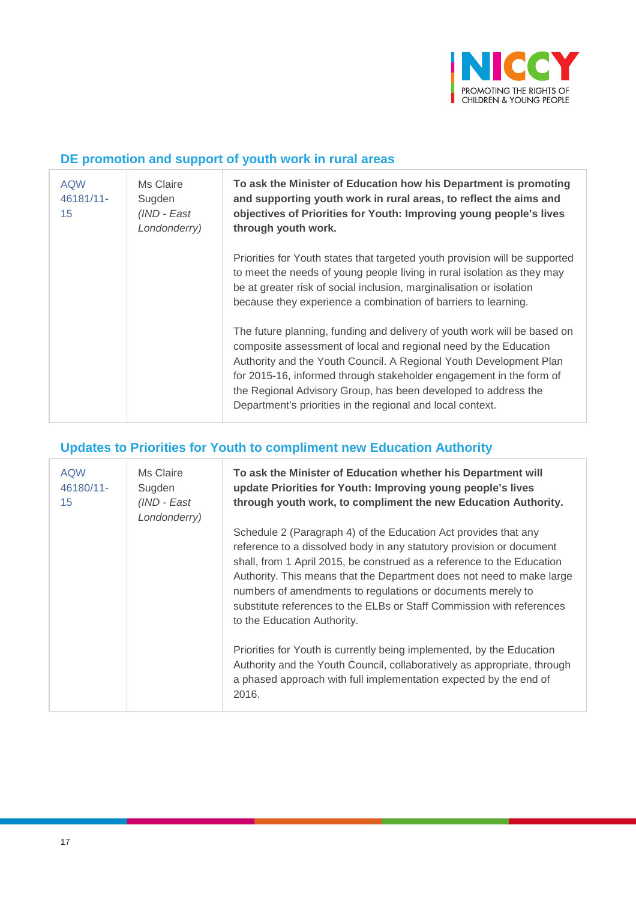

#### **DE promotion and support of youth work in rural areas**

| <b>AQW</b><br>46181/11-<br>15 | Ms Claire<br>Sugden<br>(IND - East<br>Londonderry) | To ask the Minister of Education how his Department is promoting<br>and supporting youth work in rural areas, to reflect the aims and<br>objectives of Priorities for Youth: Improving young people's lives<br>through youth work.                                                                                                                                                                                        |
|-------------------------------|----------------------------------------------------|---------------------------------------------------------------------------------------------------------------------------------------------------------------------------------------------------------------------------------------------------------------------------------------------------------------------------------------------------------------------------------------------------------------------------|
|                               |                                                    | Priorities for Youth states that targeted youth provision will be supported<br>to meet the needs of young people living in rural isolation as they may<br>be at greater risk of social inclusion, marginalisation or isolation<br>because they experience a combination of barriers to learning.                                                                                                                          |
|                               |                                                    | The future planning, funding and delivery of youth work will be based on<br>composite assessment of local and regional need by the Education<br>Authority and the Youth Council. A Regional Youth Development Plan<br>for 2015-16, informed through stakeholder engagement in the form of<br>the Regional Advisory Group, has been developed to address the<br>Department's priorities in the regional and local context. |

## **Updates to Priorities for Youth to compliment new Education Authority**

| <b>AQW</b><br>46180/11-<br>15 | Ms Claire<br>Sugden<br>(IND - East<br>Londonderry) | To ask the Minister of Education whether his Department will<br>update Priorities for Youth: Improving young people's lives<br>through youth work, to compliment the new Education Authority.                                                                                                                                                                                                                                                                     |
|-------------------------------|----------------------------------------------------|-------------------------------------------------------------------------------------------------------------------------------------------------------------------------------------------------------------------------------------------------------------------------------------------------------------------------------------------------------------------------------------------------------------------------------------------------------------------|
|                               |                                                    | Schedule 2 (Paragraph 4) of the Education Act provides that any<br>reference to a dissolved body in any statutory provision or document<br>shall, from 1 April 2015, be construed as a reference to the Education<br>Authority. This means that the Department does not need to make large<br>numbers of amendments to regulations or documents merely to<br>substitute references to the ELBs or Staff Commission with references<br>to the Education Authority. |
|                               |                                                    | Priorities for Youth is currently being implemented, by the Education<br>Authority and the Youth Council, collaboratively as appropriate, through<br>a phased approach with full implementation expected by the end of<br>2016.                                                                                                                                                                                                                                   |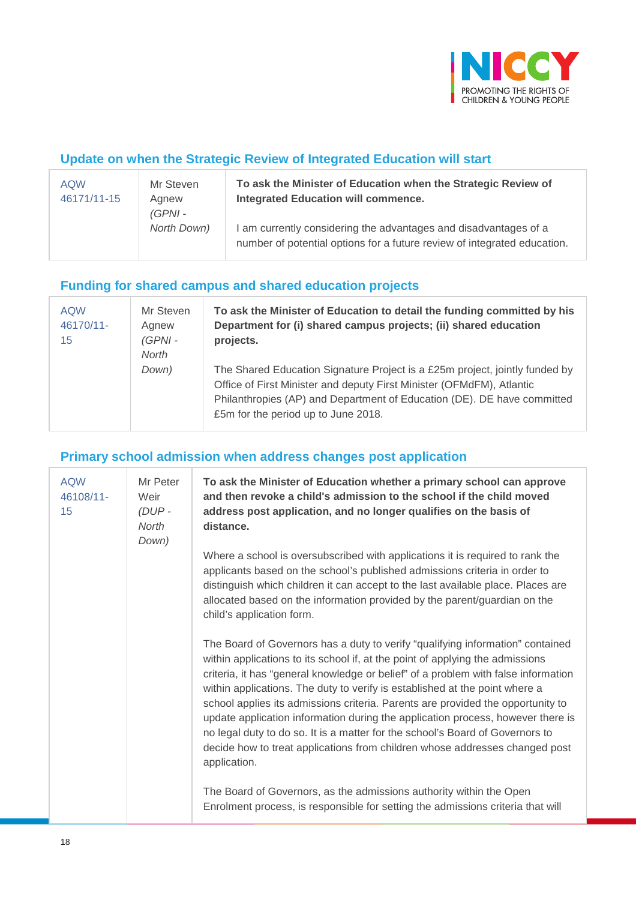

#### **Update on when the Strategic Review of Integrated Education will start**

| <b>AQW</b><br>46171/11-15 | Mr Steven<br>Agnew<br>(GPNI - | To ask the Minister of Education when the Strategic Review of<br><b>Integrated Education will commence.</b>                                  |
|---------------------------|-------------------------------|----------------------------------------------------------------------------------------------------------------------------------------------|
|                           | North Down)                   | I am currently considering the advantages and disadvantages of a<br>number of potential options for a future review of integrated education. |

#### **Funding for shared campus and shared education projects**

| <b>AQW</b><br>46170/11-<br>15 | Mr Steven<br>Agnew<br>$(GPNI -$<br>North | To ask the Minister of Education to detail the funding committed by his<br>Department for (i) shared campus projects; (ii) shared education<br>projects.                                                                                                               |
|-------------------------------|------------------------------------------|------------------------------------------------------------------------------------------------------------------------------------------------------------------------------------------------------------------------------------------------------------------------|
|                               | Down)                                    | The Shared Education Signature Project is a £25m project, jointly funded by<br>Office of First Minister and deputy First Minister (OFMdFM), Atlantic<br>Philanthropies (AP) and Department of Education (DE). DE have committed<br>£5m for the period up to June 2018. |

#### **Primary school admission when address changes post application**

| <b>AQW</b><br>46108/11-<br>15 | Mr Peter<br>Weir<br>$(DUP -$<br>North<br>Down) | To ask the Minister of Education whether a primary school can approve<br>and then revoke a child's admission to the school if the child moved<br>address post application, and no longer qualifies on the basis of<br>distance.                                                                                                                                                                                                                                                                                                                                                                                                                                                            |
|-------------------------------|------------------------------------------------|--------------------------------------------------------------------------------------------------------------------------------------------------------------------------------------------------------------------------------------------------------------------------------------------------------------------------------------------------------------------------------------------------------------------------------------------------------------------------------------------------------------------------------------------------------------------------------------------------------------------------------------------------------------------------------------------|
|                               |                                                | Where a school is oversubscribed with applications it is required to rank the<br>applicants based on the school's published admissions criteria in order to<br>distinguish which children it can accept to the last available place. Places are<br>allocated based on the information provided by the parent/guardian on the<br>child's application form.                                                                                                                                                                                                                                                                                                                                  |
|                               |                                                | The Board of Governors has a duty to verify "qualifying information" contained<br>within applications to its school if, at the point of applying the admissions<br>criteria, it has "general knowledge or belief" of a problem with false information<br>within applications. The duty to verify is established at the point where a<br>school applies its admissions criteria. Parents are provided the opportunity to<br>update application information during the application process, however there is<br>no legal duty to do so. It is a matter for the school's Board of Governors to<br>decide how to treat applications from children whose addresses changed post<br>application. |
|                               |                                                | The Board of Governors, as the admissions authority within the Open<br>Enrolment process, is responsible for setting the admissions criteria that will                                                                                                                                                                                                                                                                                                                                                                                                                                                                                                                                     |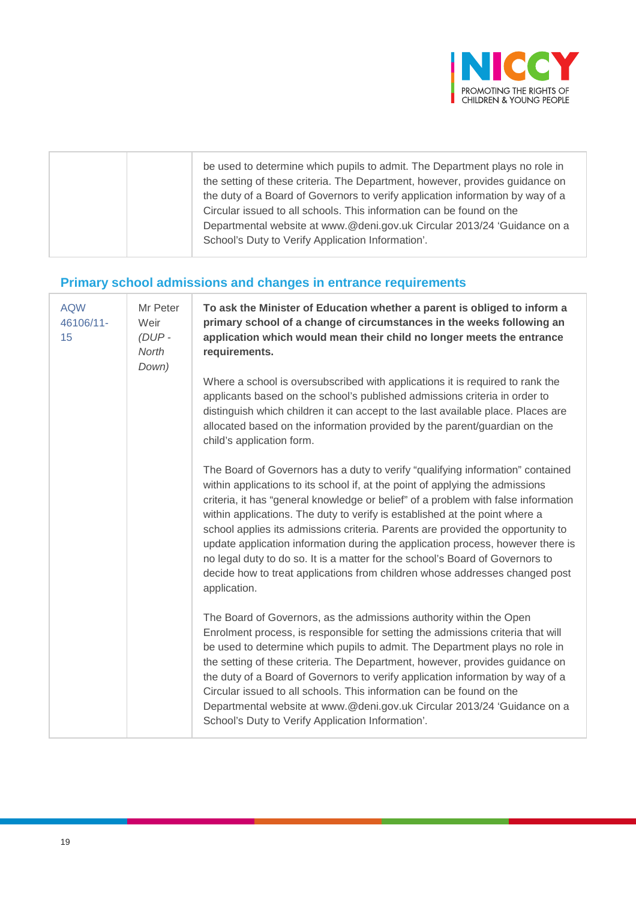

## **Primary school admissions and changes in entrance requirements**

| <b>AQW</b><br>46106/11-<br>15 | Mr Peter<br>Weir<br>$(DUP -$<br>North<br>Down) | To ask the Minister of Education whether a parent is obliged to inform a<br>primary school of a change of circumstances in the weeks following an<br>application which would mean their child no longer meets the entrance<br>requirements.                                                                                                                                                                                                                                                                                                                                                                                                                                                |
|-------------------------------|------------------------------------------------|--------------------------------------------------------------------------------------------------------------------------------------------------------------------------------------------------------------------------------------------------------------------------------------------------------------------------------------------------------------------------------------------------------------------------------------------------------------------------------------------------------------------------------------------------------------------------------------------------------------------------------------------------------------------------------------------|
|                               |                                                | Where a school is oversubscribed with applications it is required to rank the<br>applicants based on the school's published admissions criteria in order to<br>distinguish which children it can accept to the last available place. Places are<br>allocated based on the information provided by the parent/guardian on the<br>child's application form.                                                                                                                                                                                                                                                                                                                                  |
|                               |                                                | The Board of Governors has a duty to verify "qualifying information" contained<br>within applications to its school if, at the point of applying the admissions<br>criteria, it has "general knowledge or belief" of a problem with false information<br>within applications. The duty to verify is established at the point where a<br>school applies its admissions criteria. Parents are provided the opportunity to<br>update application information during the application process, however there is<br>no legal duty to do so. It is a matter for the school's Board of Governors to<br>decide how to treat applications from children whose addresses changed post<br>application. |
|                               |                                                | The Board of Governors, as the admissions authority within the Open<br>Enrolment process, is responsible for setting the admissions criteria that will<br>be used to determine which pupils to admit. The Department plays no role in<br>the setting of these criteria. The Department, however, provides guidance on<br>the duty of a Board of Governors to verify application information by way of a<br>Circular issued to all schools. This information can be found on the<br>Departmental website at www.@deni.gov.uk Circular 2013/24 'Guidance on a<br>School's Duty to Verify Application Information'.                                                                           |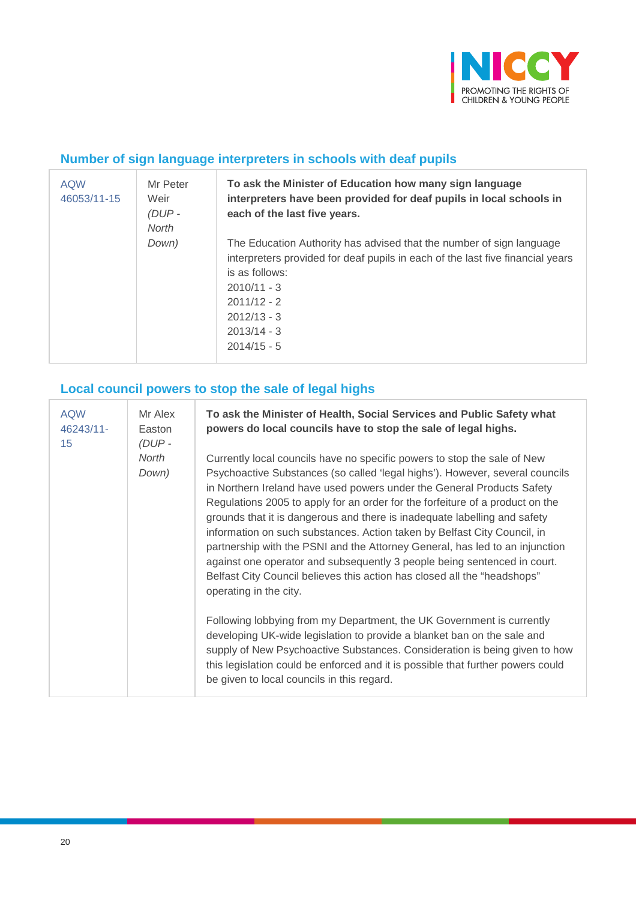

#### **Number of sign language interpreters in schools with deaf pupils**

| <b>AQW</b><br>46053/11-15 | Mr Peter<br>Weir<br>(DUP-<br>North | To ask the Minister of Education how many sign language<br>interpreters have been provided for deaf pupils in local schools in<br>each of the last five years.                                                                                                |
|---------------------------|------------------------------------|---------------------------------------------------------------------------------------------------------------------------------------------------------------------------------------------------------------------------------------------------------------|
|                           | Down)                              | The Education Authority has advised that the number of sign language<br>interpreters provided for deaf pupils in each of the last five financial years<br>is as follows:<br>$2010/11 - 3$<br>$2011/12 - 2$<br>$2012/13 - 3$<br>$2013/14 - 3$<br>$2014/15 - 5$ |

## **Local council powers to stop the sale of legal highs**

| <b>AQW</b><br>Mr Alex<br>46243/11-<br>Easton<br>$(DUP -$<br>15 |                | To ask the Minister of Health, Social Services and Public Safety what<br>powers do local councils have to stop the sale of legal highs.                                                                                                                                                                                                                                                                                                                                                                                                                                                                                                                                                                                                        |
|----------------------------------------------------------------|----------------|------------------------------------------------------------------------------------------------------------------------------------------------------------------------------------------------------------------------------------------------------------------------------------------------------------------------------------------------------------------------------------------------------------------------------------------------------------------------------------------------------------------------------------------------------------------------------------------------------------------------------------------------------------------------------------------------------------------------------------------------|
|                                                                | North<br>Down) | Currently local councils have no specific powers to stop the sale of New<br>Psychoactive Substances (so called 'legal highs'). However, several councils<br>in Northern Ireland have used powers under the General Products Safety<br>Regulations 2005 to apply for an order for the forfeiture of a product on the<br>grounds that it is dangerous and there is inadequate labelling and safety<br>information on such substances. Action taken by Belfast City Council, in<br>partnership with the PSNI and the Attorney General, has led to an injunction<br>against one operator and subsequently 3 people being sentenced in court.<br>Belfast City Council believes this action has closed all the "headshops"<br>operating in the city. |
|                                                                |                | Following lobbying from my Department, the UK Government is currently<br>developing UK-wide legislation to provide a blanket ban on the sale and<br>supply of New Psychoactive Substances. Consideration is being given to how<br>this legislation could be enforced and it is possible that further powers could<br>be given to local councils in this regard.                                                                                                                                                                                                                                                                                                                                                                                |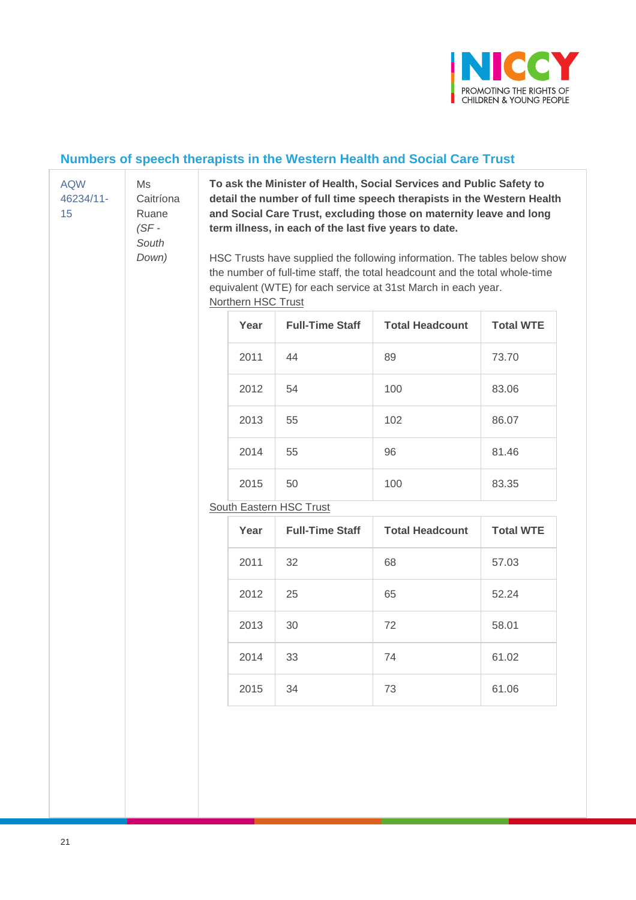

## **Numbers of speech therapists in the Western Health and Social Care Trust**

| <b>AQW</b><br>Ms<br>Caitríona<br>46234/11-<br>15<br>Ruane<br>$(SF -$<br>South<br>Down) | To ask the Minister of Health, Social Services and Public Safety to<br>detail the number of full time speech therapists in the Western Health<br>and Social Care Trust, excluding those on maternity leave and long<br>term illness, in each of the last five years to date.<br>HSC Trusts have supplied the following information. The tables below show<br>the number of full-time staff, the total headcount and the total whole-time<br>equivalent (WTE) for each service at 31st March in each year.<br><b>Northern HSC Trust</b> |  |                         |                        |                        |                  |    |    |       |
|----------------------------------------------------------------------------------------|----------------------------------------------------------------------------------------------------------------------------------------------------------------------------------------------------------------------------------------------------------------------------------------------------------------------------------------------------------------------------------------------------------------------------------------------------------------------------------------------------------------------------------------|--|-------------------------|------------------------|------------------------|------------------|----|----|-------|
|                                                                                        |                                                                                                                                                                                                                                                                                                                                                                                                                                                                                                                                        |  | Year                    | <b>Full-Time Staff</b> | <b>Total Headcount</b> | <b>Total WTE</b> |    |    |       |
|                                                                                        |                                                                                                                                                                                                                                                                                                                                                                                                                                                                                                                                        |  | 2011                    | 44                     | 89                     | 73.70            |    |    |       |
|                                                                                        |                                                                                                                                                                                                                                                                                                                                                                                                                                                                                                                                        |  | 2012                    | 54                     | 100                    | 83.06            |    |    |       |
|                                                                                        |                                                                                                                                                                                                                                                                                                                                                                                                                                                                                                                                        |  | 2013                    | 55                     | 102                    | 86.07            |    |    |       |
|                                                                                        |                                                                                                                                                                                                                                                                                                                                                                                                                                                                                                                                        |  | 2014                    | 55                     | 96                     | 81.46            |    |    |       |
|                                                                                        |                                                                                                                                                                                                                                                                                                                                                                                                                                                                                                                                        |  | 2015                    | 50                     | 100                    | 83.35            |    |    |       |
|                                                                                        |                                                                                                                                                                                                                                                                                                                                                                                                                                                                                                                                        |  | South Eastern HSC Trust |                        |                        |                  |    |    |       |
|                                                                                        |                                                                                                                                                                                                                                                                                                                                                                                                                                                                                                                                        |  | Year                    | <b>Full-Time Staff</b> | <b>Total Headcount</b> | <b>Total WTE</b> |    |    |       |
|                                                                                        |                                                                                                                                                                                                                                                                                                                                                                                                                                                                                                                                        |  | 2011                    | 32                     | 68                     | 57.03            |    |    |       |
|                                                                                        |                                                                                                                                                                                                                                                                                                                                                                                                                                                                                                                                        |  | 2012                    | 25                     | 65                     | 52.24            |    |    |       |
|                                                                                        |                                                                                                                                                                                                                                                                                                                                                                                                                                                                                                                                        |  |                         |                        |                        | 2013             | 30 | 72 | 58.01 |
|                                                                                        |                                                                                                                                                                                                                                                                                                                                                                                                                                                                                                                                        |  | 2014                    | 33                     | 74                     | 61.02            |    |    |       |
|                                                                                        |                                                                                                                                                                                                                                                                                                                                                                                                                                                                                                                                        |  | 2015                    | 34                     | 73                     | 61.06            |    |    |       |
|                                                                                        |                                                                                                                                                                                                                                                                                                                                                                                                                                                                                                                                        |  |                         |                        |                        |                  |    |    |       |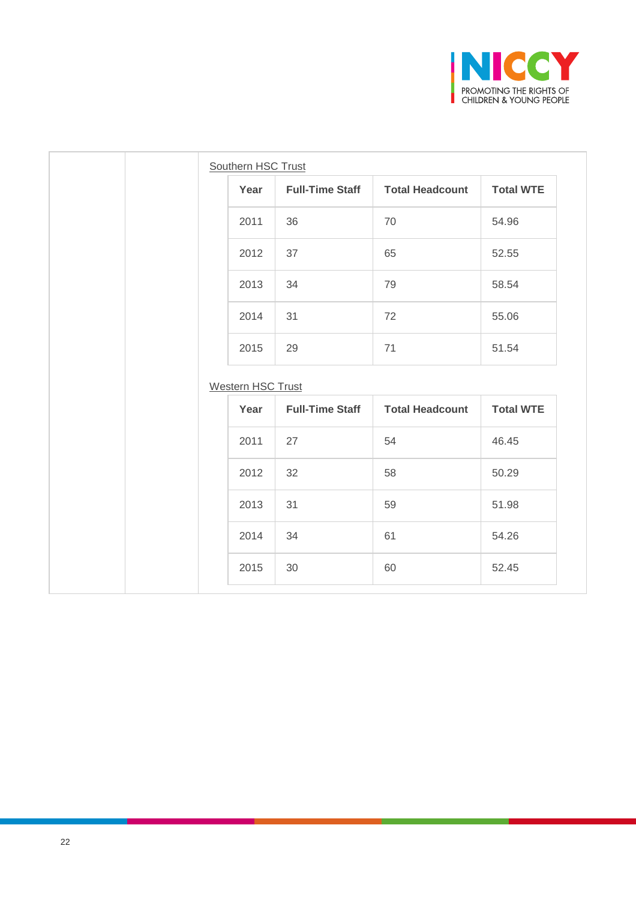

| Southern HSC Trust       |                        |                        |                           |
|--------------------------|------------------------|------------------------|---------------------------|
| Year                     | <b>Full-Time Staff</b> | <b>Total Headcount</b> | <b>Total WTE</b>          |
| 2011                     | 36                     | 70                     | 54.96                     |
| 2012                     | 37                     | 65                     | 52.55                     |
| 2013                     | 34                     | 79                     | 58.54                     |
| 2014                     | 31                     | 72                     | 55.06                     |
| 2015                     | 29                     | 71                     | 51.54                     |
|                          |                        |                        |                           |
| <b>Western HSC Trust</b> |                        |                        |                           |
| Year                     | <b>Full-Time Staff</b> | <b>Total Headcount</b> |                           |
| 2011                     | 27                     | 54                     | 46.45                     |
| 2012                     | 32                     | 58                     | 50.29                     |
| 2013                     | 31                     | 59                     | <b>Total WTE</b><br>51.98 |
| 2014                     | 34                     | 61                     | 54.26                     |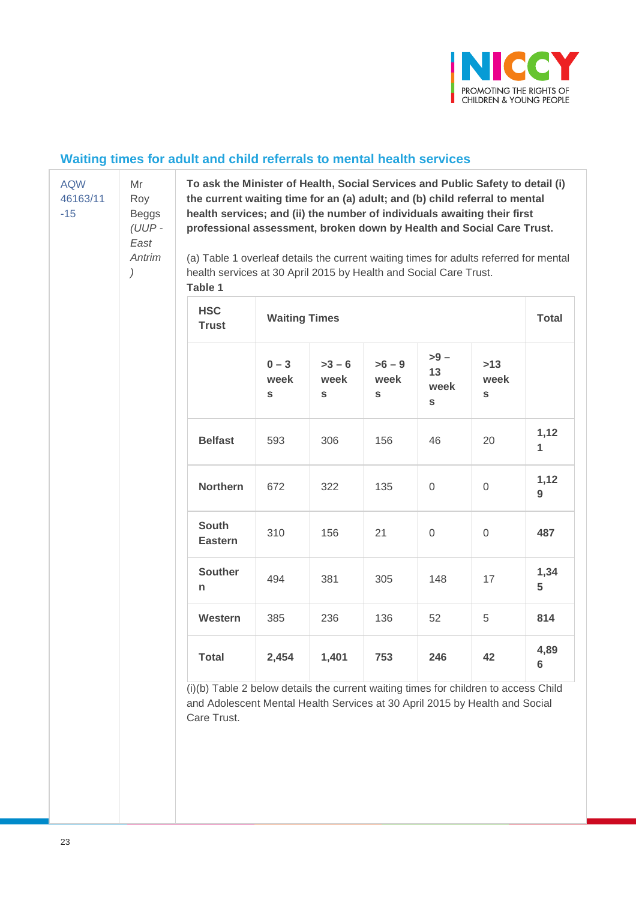

#### **Waiting times for adult and child referrals to mental health services**

| <b>AQW</b> | N  |
|------------|----|
| 46163/11   | R  |
| -15        | В  |
|            | (l |
|            | Н  |

Mr Roy eggs *(UUP - East Antrim*

*)*

**To ask the Minister of Health, Social Services and Public Safety to detail (i) the current waiting time for an (a) adult; and (b) child referral to mental health services; and (ii) the number of individuals awaiting their first professional assessment, broken down by Health and Social Care Trust.**

(a) Table 1 overleaf details the current waiting times for adults referred for mental health services at 30 April 2015 by Health and Social Care Trust. **Table 1**

| <b>HSC</b><br><b>Trust</b>     | <b>Waiting Times</b> | <b>Total</b>        |                     |                                       |                               |                         |
|--------------------------------|----------------------|---------------------|---------------------|---------------------------------------|-------------------------------|-------------------------|
|                                | $0 - 3$<br>week<br>S | $>3-6$<br>week<br>S | $>6-9$<br>week<br>S | $> 9 -$<br>13<br>week<br>$\mathbf{s}$ | $>13$<br>week<br>$\mathbf{s}$ |                         |
| <b>Belfast</b>                 | 593                  | 306                 | 156                 | 46                                    | 20                            | 1,12<br>1               |
| <b>Northern</b>                | 672                  | 322                 | 135                 | $\mathbf 0$                           | 0                             | 1,12<br>9               |
| <b>South</b><br><b>Eastern</b> | 310                  | 156                 | 21                  | $\Omega$                              | $\Omega$                      | 487                     |
| <b>Souther</b><br>n            | 494                  | 381                 | 305                 | 148                                   | 17                            | 1,34<br>5               |
| Western                        | 385                  | 236                 | 136                 | 52                                    | 5                             | 814                     |
| <b>Total</b>                   | 2,454                | 1,401               | 753                 | 246                                   | 42                            | 4,89<br>$6\phantom{1}6$ |

(i)(b) Table 2 below details the current waiting times for children to access Child and Adolescent Mental Health Services at 30 April 2015 by Health and Social Care Trust.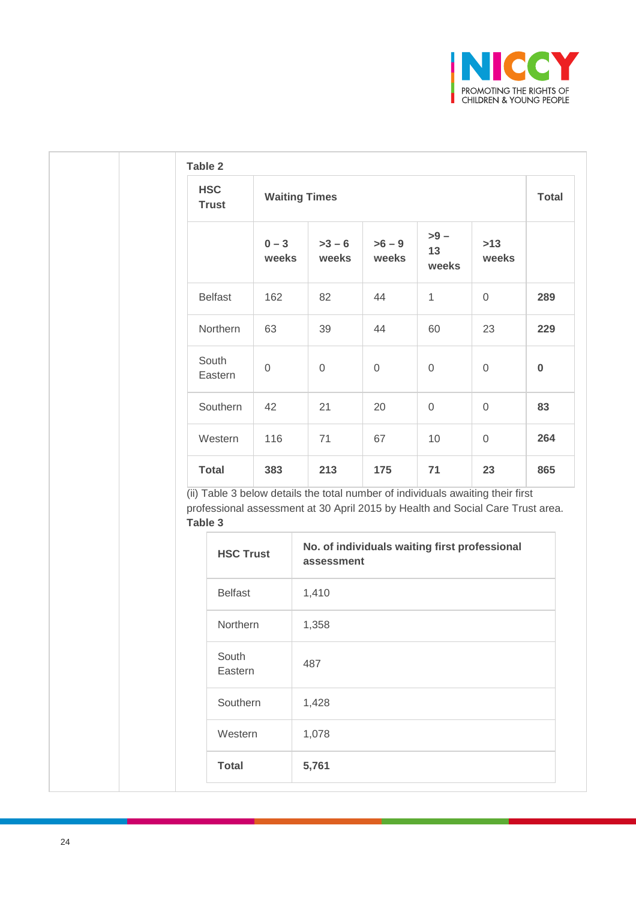

| <b>Trust</b>     |                  |                  | <b>Waiting Times</b>                                                                                                                                                                                                             |                 |                        |                     | <b>Total</b> |
|------------------|------------------|------------------|----------------------------------------------------------------------------------------------------------------------------------------------------------------------------------------------------------------------------------|-----------------|------------------------|---------------------|--------------|
|                  |                  | $0 - 3$<br>weeks | $>3-6$<br>weeks                                                                                                                                                                                                                  | $>6-9$<br>weeks | $> 9 -$<br>13<br>weeks | $>13$<br>weeks      |              |
| <b>Belfast</b>   |                  | 162              | 82                                                                                                                                                                                                                               | 44              | $\mathbf{1}$           | $\mathsf{O}\xspace$ | 289          |
| Northern         |                  | 63               | 39                                                                                                                                                                                                                               | 44              | 60                     | 23                  | 229          |
| South<br>Eastern |                  | $\mathbf 0$      | $\mathbf 0$                                                                                                                                                                                                                      | $\mathbf 0$     | $\mathsf{O}\xspace$    | $\mathbf 0$         | $\pmb{0}$    |
| Southern         |                  | 42               | 21                                                                                                                                                                                                                               | 20              | $\overline{0}$         | $\mathsf{O}\xspace$ | 83           |
| Western          |                  | 116              | 71                                                                                                                                                                                                                               | 67              | 10                     | $\mathsf{O}\xspace$ | 264          |
| <b>Total</b>     |                  | 383              | 213                                                                                                                                                                                                                              | 175             | 71                     | 23                  | 865          |
|                  |                  |                  |                                                                                                                                                                                                                                  |                 |                        |                     |              |
|                  | <b>HSC Trust</b> |                  | (ii) Table 3 below details the total number of individuals awaiting their first<br>professional assessment at 30 April 2015 by Health and Social Care Trust area.<br>No. of individuals waiting first professional<br>assessment |                 |                        |                     |              |
|                  | <b>Belfast</b>   |                  | 1,410                                                                                                                                                                                                                            |                 |                        |                     |              |
|                  | Northern         |                  | 1,358                                                                                                                                                                                                                            |                 |                        |                     |              |
|                  | South<br>Eastern |                  | 487                                                                                                                                                                                                                              |                 |                        |                     |              |
|                  | Southern         |                  | 1,428                                                                                                                                                                                                                            |                 |                        |                     |              |
| Table 3          | Western          |                  | 1,078                                                                                                                                                                                                                            |                 |                        |                     |              |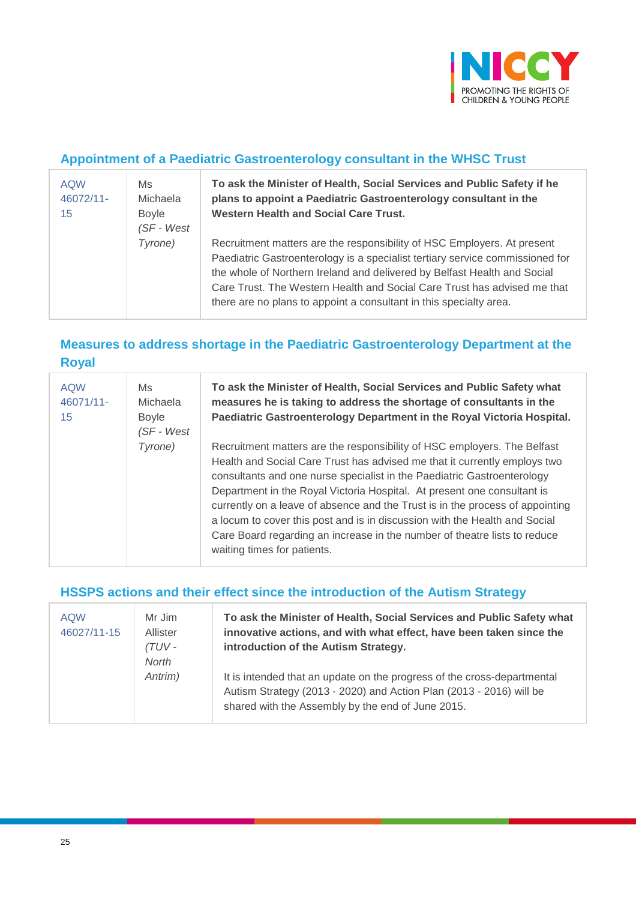

#### **Appointment of a Paediatric Gastroenterology consultant in the WHSC Trust**

| <b>AQW</b><br>46072/11-<br>15 | Ms.<br><b>Michaela</b><br><b>Boyle</b><br>(SF - West | To ask the Minister of Health, Social Services and Public Safety if he<br>plans to appoint a Paediatric Gastroenterology consultant in the<br><b>Western Health and Social Care Trust.</b>                                                                                                                                                                                             |
|-------------------------------|------------------------------------------------------|----------------------------------------------------------------------------------------------------------------------------------------------------------------------------------------------------------------------------------------------------------------------------------------------------------------------------------------------------------------------------------------|
|                               | Tyrone)                                              | Recruitment matters are the responsibility of HSC Employers. At present<br>Paediatric Gastroenterology is a specialist tertiary service commissioned for<br>the whole of Northern Ireland and delivered by Belfast Health and Social<br>Care Trust. The Western Health and Social Care Trust has advised me that<br>there are no plans to appoint a consultant in this specialty area. |

## **Measures to address shortage in the Paediatric Gastroenterology Department at the Royal**

| <b>AQW</b><br>46071/11-<br>15 | Ms<br>Michaela<br><b>Boyle</b><br>(SF - West | To ask the Minister of Health, Social Services and Public Safety what<br>measures he is taking to address the shortage of consultants in the<br>Paediatric Gastroenterology Department in the Royal Victoria Hospital.                                                                                                                                                                                                                                                                                                                                                                 |
|-------------------------------|----------------------------------------------|----------------------------------------------------------------------------------------------------------------------------------------------------------------------------------------------------------------------------------------------------------------------------------------------------------------------------------------------------------------------------------------------------------------------------------------------------------------------------------------------------------------------------------------------------------------------------------------|
|                               | Tyrone)                                      | Recruitment matters are the responsibility of HSC employers. The Belfast<br>Health and Social Care Trust has advised me that it currently employs two<br>consultants and one nurse specialist in the Paediatric Gastroenterology<br>Department in the Royal Victoria Hospital. At present one consultant is<br>currently on a leave of absence and the Trust is in the process of appointing<br>a locum to cover this post and is in discussion with the Health and Social<br>Care Board regarding an increase in the number of theatre lists to reduce<br>waiting times for patients. |

#### **HSSPS actions and their effect since the introduction of the Autism Strategy**

| <b>AQW</b><br>46027/11-15 | Mr Jim<br>Allister<br>(TUV -<br>North | To ask the Minister of Health, Social Services and Public Safety what<br>innovative actions, and with what effect, have been taken since the<br>introduction of the Autism Strategy.                |
|---------------------------|---------------------------------------|-----------------------------------------------------------------------------------------------------------------------------------------------------------------------------------------------------|
|                           | Antrim)                               | It is intended that an update on the progress of the cross-departmental<br>Autism Strategy (2013 - 2020) and Action Plan (2013 - 2016) will be<br>shared with the Assembly by the end of June 2015. |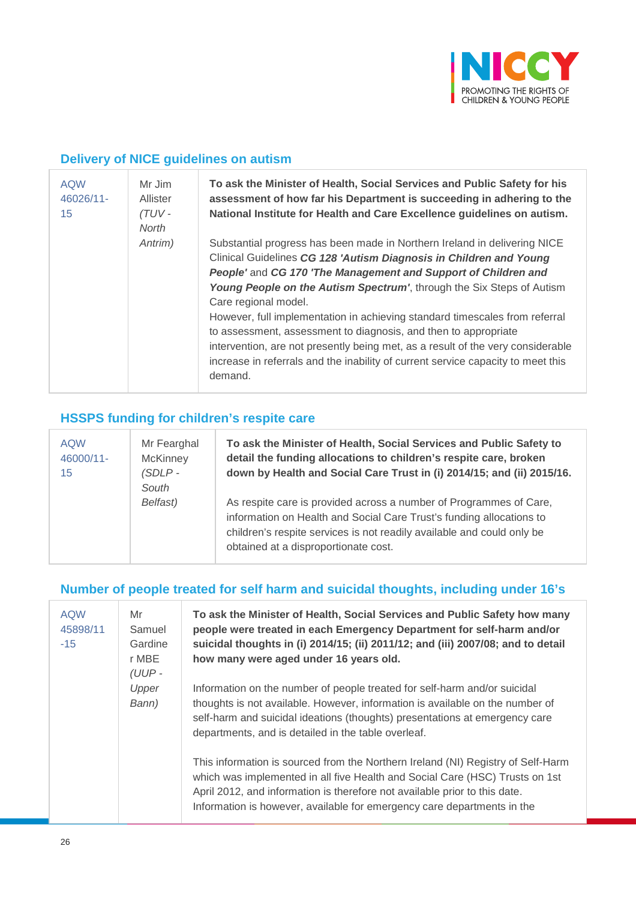

## **Delivery of NICE guidelines on autism**

| <b>AQW</b><br>46026/11-<br>15 | Mr Jim<br>Allister<br>$(TUV -$<br>North | To ask the Minister of Health, Social Services and Public Safety for his<br>assessment of how far his Department is succeeding in adhering to the<br>National Institute for Health and Care Excellence guidelines on autism.                                                                                                                                                                                                                                                                                                                                                                                                                           |
|-------------------------------|-----------------------------------------|--------------------------------------------------------------------------------------------------------------------------------------------------------------------------------------------------------------------------------------------------------------------------------------------------------------------------------------------------------------------------------------------------------------------------------------------------------------------------------------------------------------------------------------------------------------------------------------------------------------------------------------------------------|
|                               | Antrim)                                 | Substantial progress has been made in Northern Ireland in delivering NICE<br>Clinical Guidelines CG 128 'Autism Diagnosis in Children and Young<br>People' and CG 170 'The Management and Support of Children and<br>Young People on the Autism Spectrum', through the Six Steps of Autism<br>Care regional model.<br>However, full implementation in achieving standard timescales from referral<br>to assessment, assessment to diagnosis, and then to appropriate<br>intervention, are not presently being met, as a result of the very considerable<br>increase in referrals and the inability of current service capacity to meet this<br>demand. |

## **HSSPS funding for children's respite care**

| <b>AQW</b><br>46000/11-<br>15 | Mr Fearghal<br><b>McKinney</b><br>$(SDLP -$<br>South | To ask the Minister of Health, Social Services and Public Safety to<br>detail the funding allocations to children's respite care, broken<br>down by Health and Social Care Trust in (i) 2014/15; and (ii) 2015/16.                                           |
|-------------------------------|------------------------------------------------------|--------------------------------------------------------------------------------------------------------------------------------------------------------------------------------------------------------------------------------------------------------------|
|                               | Belfast)                                             | As respite care is provided across a number of Programmes of Care,<br>information on Health and Social Care Trust's funding allocations to<br>children's respite services is not readily available and could only be<br>obtained at a disproportionate cost. |

## **Number of people treated for self harm and suicidal thoughts, including under 16's**

| <b>AQW</b><br>45898/11<br>$-15$ | Mr<br>Samuel<br>Gardine<br>r MBE<br>(UUP- | To ask the Minister of Health, Social Services and Public Safety how many<br>people were treated in each Emergency Department for self-harm and/or<br>suicidal thoughts in (i) 2014/15; (ii) 2011/12; and (iii) 2007/08; and to detail<br>how many were aged under 16 years old.                                          |
|---------------------------------|-------------------------------------------|---------------------------------------------------------------------------------------------------------------------------------------------------------------------------------------------------------------------------------------------------------------------------------------------------------------------------|
|                                 | Upper<br>Bann)                            | Information on the number of people treated for self-harm and/or suicidal<br>thoughts is not available. However, information is available on the number of<br>self-harm and suicidal ideations (thoughts) presentations at emergency care<br>departments, and is detailed in the table overleaf.                          |
|                                 |                                           | This information is sourced from the Northern Ireland (NI) Registry of Self-Harm<br>which was implemented in all five Health and Social Care (HSC) Trusts on 1st<br>April 2012, and information is therefore not available prior to this date.<br>Information is however, available for emergency care departments in the |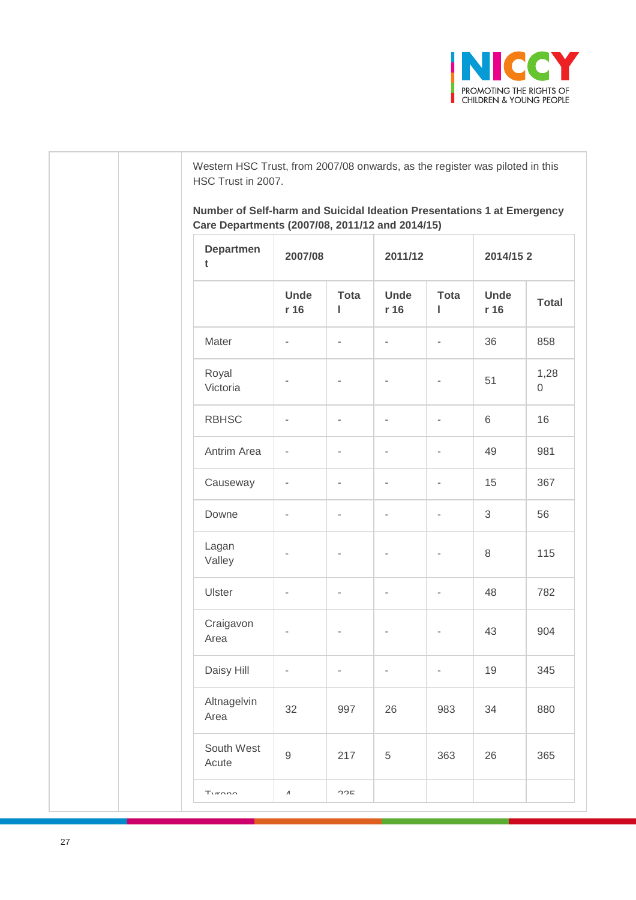

Western HSC Trust, from 2007/08 onwards, as the register was piloted in this HSC Trust in 2007.

**Number of Self-harm and Suicidal Ideation Presentations 1 at Emergency Care Departments (2007/08, 2011/12 and 2014/15)**

| <b>Departmen</b><br>t | 2007/08                  |                  | 2011/12                  |                          | 2014/152            |                     |  |
|-----------------------|--------------------------|------------------|--------------------------|--------------------------|---------------------|---------------------|--|
|                       | <b>Unde</b><br>r 16      | <b>Tota</b><br>ı | <b>Unde</b><br>r 16      | <b>Tota</b><br>ı         | <b>Unde</b><br>r 16 | <b>Total</b>        |  |
| Mater                 | $\overline{a}$           | $\bar{ }$        | $\overline{a}$           | $\overline{\phantom{m}}$ | 36                  | 858                 |  |
| Royal<br>Victoria     |                          |                  | -                        | ٠                        | 51                  | 1,28<br>$\mathbf 0$ |  |
| <b>RBHSC</b>          | $\overline{a}$           | -                | $\overline{\phantom{0}}$ | ÷,                       | 6                   | 16                  |  |
| Antrim Area           | $\overline{a}$           | ۰                | -                        | $\overline{\phantom{m}}$ | 49                  | 981                 |  |
| Causeway              | $\overline{a}$           | $\bar{ }$        | $\overline{a}$           | $\overline{\phantom{m}}$ | 15                  | 367                 |  |
| Downe                 | L,                       | -                | $\overline{\phantom{0}}$ | $\overline{a}$           | 3                   | 56                  |  |
| Lagan<br>Valley       |                          | L,               | L,                       | $\overline{\phantom{0}}$ | 8                   | 115                 |  |
| Ulster                | $\overline{\phantom{m}}$ | ۰                | -                        | ۰                        | 48                  | 782                 |  |
| Craigavon<br>Area     |                          |                  |                          |                          | 43                  | 904                 |  |
| Daisy Hill            | $\overline{a}$           | $\bar{ }$        | $\overline{a}$           | $\overline{a}$           | 19                  | 345                 |  |
| Altnagelvin<br>Area   | 32                       | 997              | 26                       | 983                      | 34                  | 880                 |  |
| South West<br>Acute   | $\mathsf 9$              | 217              | 5                        | 363                      | 26                  | 365                 |  |
| T <sub>under</sub>    | $\pmb{\Lambda}$          | つつに              |                          |                          |                     |                     |  |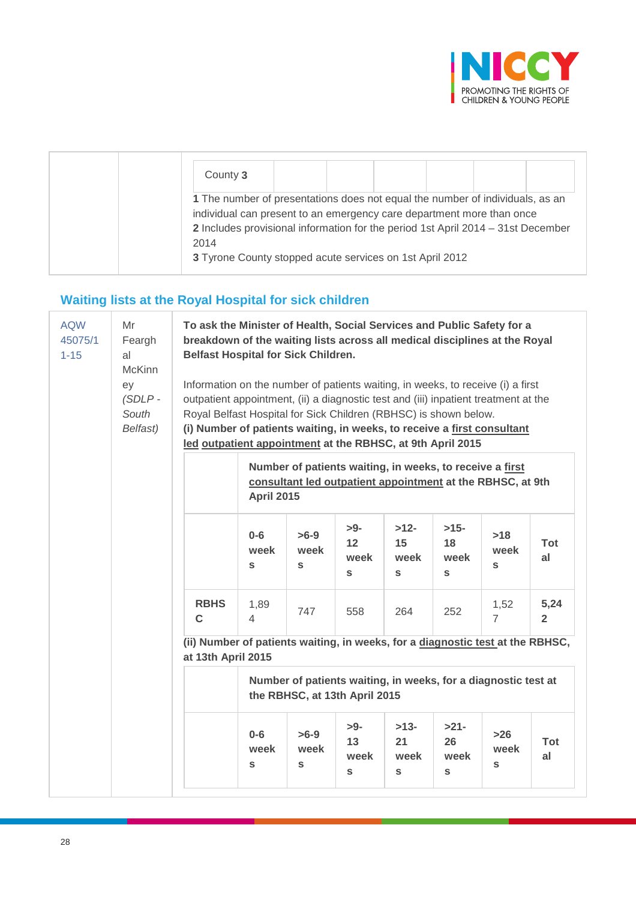

| County 3                                                                                                                                                                                                                                                                                                       |  |  |  |
|----------------------------------------------------------------------------------------------------------------------------------------------------------------------------------------------------------------------------------------------------------------------------------------------------------------|--|--|--|
| 1 The number of presentations does not equal the number of individuals, as an<br>individual can present to an emergency care department more than once<br>2 Includes provisional information for the period 1st April 2014 - 31st December<br>2014<br>3 Tyrone County stopped acute services on 1st April 2012 |  |  |  |

# **Waiting lists at the Royal Hospital for sick children**

| <b>AQW</b><br>45075/1<br>$1 - 15$ | Mr<br>Feargh<br>al<br><b>McKinn</b><br>ey<br>$(SDLP -$<br>South<br>Belfast) | To ask the Minister of Health, Social Services and Public Safety for a<br>breakdown of the waiting lists across all medical disciplines at the Royal<br><b>Belfast Hospital for Sick Children.</b><br>Information on the number of patients waiting, in weeks, to receive (i) a first<br>outpatient appointment, (ii) a diagnostic test and (iii) inpatient treatment at the<br>Royal Belfast Hospital for Sick Children (RBHSC) is shown below.<br>(i) Number of patients waiting, in weeks, to receive a first consultant |                                                                                                                                                                                                           |                                |                          |                                                                |                                       |                               |                        |  |
|-----------------------------------|-----------------------------------------------------------------------------|-----------------------------------------------------------------------------------------------------------------------------------------------------------------------------------------------------------------------------------------------------------------------------------------------------------------------------------------------------------------------------------------------------------------------------------------------------------------------------------------------------------------------------|-----------------------------------------------------------------------------------------------------------------------------------------------------------------------------------------------------------|--------------------------------|--------------------------|----------------------------------------------------------------|---------------------------------------|-------------------------------|------------------------|--|
|                                   |                                                                             |                                                                                                                                                                                                                                                                                                                                                                                                                                                                                                                             | led outpatient appointment at the RBHSC, at 9th April 2015<br>Number of patients waiting, in weeks, to receive a first<br>consultant led outpatient appointment at the RBHSC, at 9th<br><b>April 2015</b> |                                |                          |                                                                |                                       |                               |                        |  |
|                                   |                                                                             |                                                                                                                                                                                                                                                                                                                                                                                                                                                                                                                             | $0-6$<br>week<br>$\mathbf{s}$                                                                                                                                                                             | $>6-9$<br>week<br>S            | $>9-$<br>12<br>week<br>S | $>12-$<br>15<br>week<br>S                                      | $>15-$<br>18<br>week<br>S             | >18<br>week<br>S              | <b>Tot</b><br>al       |  |
|                                   |                                                                             | <b>RBHS</b><br>C                                                                                                                                                                                                                                                                                                                                                                                                                                                                                                            | 1,89<br>$\overline{4}$                                                                                                                                                                                    | 747                            | 558                      | 264                                                            | 252                                   | 1,52<br>$\overline{7}$        | 5,24<br>$\overline{2}$ |  |
|                                   |                                                                             | (ii) Number of patients waiting, in weeks, for a diagnostic test at the RBHSC,<br>at 13th April 2015                                                                                                                                                                                                                                                                                                                                                                                                                        |                                                                                                                                                                                                           |                                |                          |                                                                |                                       |                               |                        |  |
|                                   |                                                                             |                                                                                                                                                                                                                                                                                                                                                                                                                                                                                                                             |                                                                                                                                                                                                           | the RBHSC, at 13th April 2015  |                          | Number of patients waiting, in weeks, for a diagnostic test at |                                       |                               |                        |  |
|                                   |                                                                             |                                                                                                                                                                                                                                                                                                                                                                                                                                                                                                                             | $0-6$<br>week<br>$\mathbf{s}$                                                                                                                                                                             | $>6-9$<br>week<br>$\mathbf{s}$ | $>9-$<br>13<br>week<br>S | $>13-$<br>21<br>week<br>S                                      | $>21-$<br>26<br>week<br>${\mathsf s}$ | $>26$<br>week<br>$\mathbf{s}$ | Tot<br>al              |  |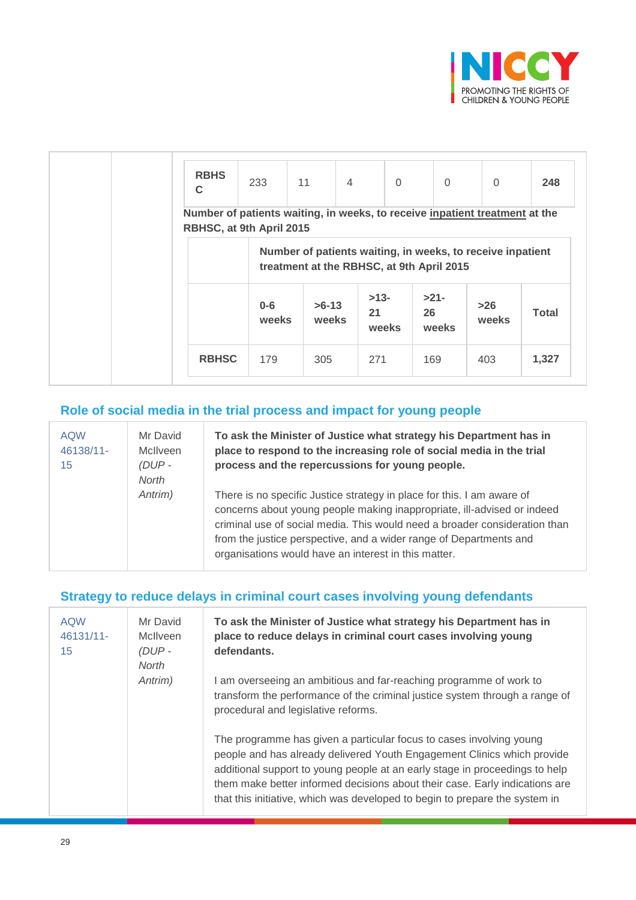

| <b>RBHS</b><br>C                                                                                        | 233              | 11               | $\overline{4}$ | $\Omega$                                                                                                | $\Omega$              | $\Omega$       | 248          |
|---------------------------------------------------------------------------------------------------------|------------------|------------------|----------------|---------------------------------------------------------------------------------------------------------|-----------------------|----------------|--------------|
| Number of patients waiting, in weeks, to receive inpatient treatment at the<br>RBHSC, at 9th April 2015 |                  |                  |                |                                                                                                         |                       |                |              |
|                                                                                                         |                  |                  |                | Number of patients waiting, in weeks, to receive inpatient<br>treatment at the RBHSC, at 9th April 2015 |                       |                |              |
|                                                                                                         | $0 - 6$<br>weeks | $>6-13$<br>weeks | 21             | $>13-$<br>weeks                                                                                         | $>21-$<br>26<br>weeks | $>26$<br>weeks | <b>Total</b> |
| <b>RBHSC</b>                                                                                            | 179              | 305              | 271            |                                                                                                         | 169                   | 403            | 1,327        |

## **Role of social media in the trial process and impact for young people**

| <b>AQW</b><br>46138/11-<br>15 | Mr David<br>McIlveen<br>$(DUP -$<br><b>North</b> | To ask the Minister of Justice what strategy his Department has in<br>place to respond to the increasing role of social media in the trial<br>process and the repercussions for young people.                                                                                                                                                                 |
|-------------------------------|--------------------------------------------------|---------------------------------------------------------------------------------------------------------------------------------------------------------------------------------------------------------------------------------------------------------------------------------------------------------------------------------------------------------------|
|                               | Antrim)                                          | There is no specific Justice strategy in place for this. I am aware of<br>concerns about young people making inappropriate, ill-advised or indeed<br>criminal use of social media. This would need a broader consideration than<br>from the justice perspective, and a wider range of Departments and<br>organisations would have an interest in this matter. |

## **Strategy to reduce delays in criminal court cases involving young defendants**

| <b>AQW</b><br>$46131/11 -$<br>15 | Mr David<br><b>McIlveen</b><br>$(DUP -$<br><b>North</b> | To ask the Minister of Justice what strategy his Department has in<br>place to reduce delays in criminal court cases involving young<br>defendants.                                                                                                                                                                                                                                         |
|----------------------------------|---------------------------------------------------------|---------------------------------------------------------------------------------------------------------------------------------------------------------------------------------------------------------------------------------------------------------------------------------------------------------------------------------------------------------------------------------------------|
|                                  | Antrim)                                                 | I am overseeing an ambitious and far-reaching programme of work to<br>transform the performance of the criminal justice system through a range of<br>procedural and legislative reforms.                                                                                                                                                                                                    |
|                                  |                                                         | The programme has given a particular focus to cases involving young<br>people and has already delivered Youth Engagement Clinics which provide<br>additional support to young people at an early stage in proceedings to help<br>them make better informed decisions about their case. Early indications are<br>that this initiative, which was developed to begin to prepare the system in |